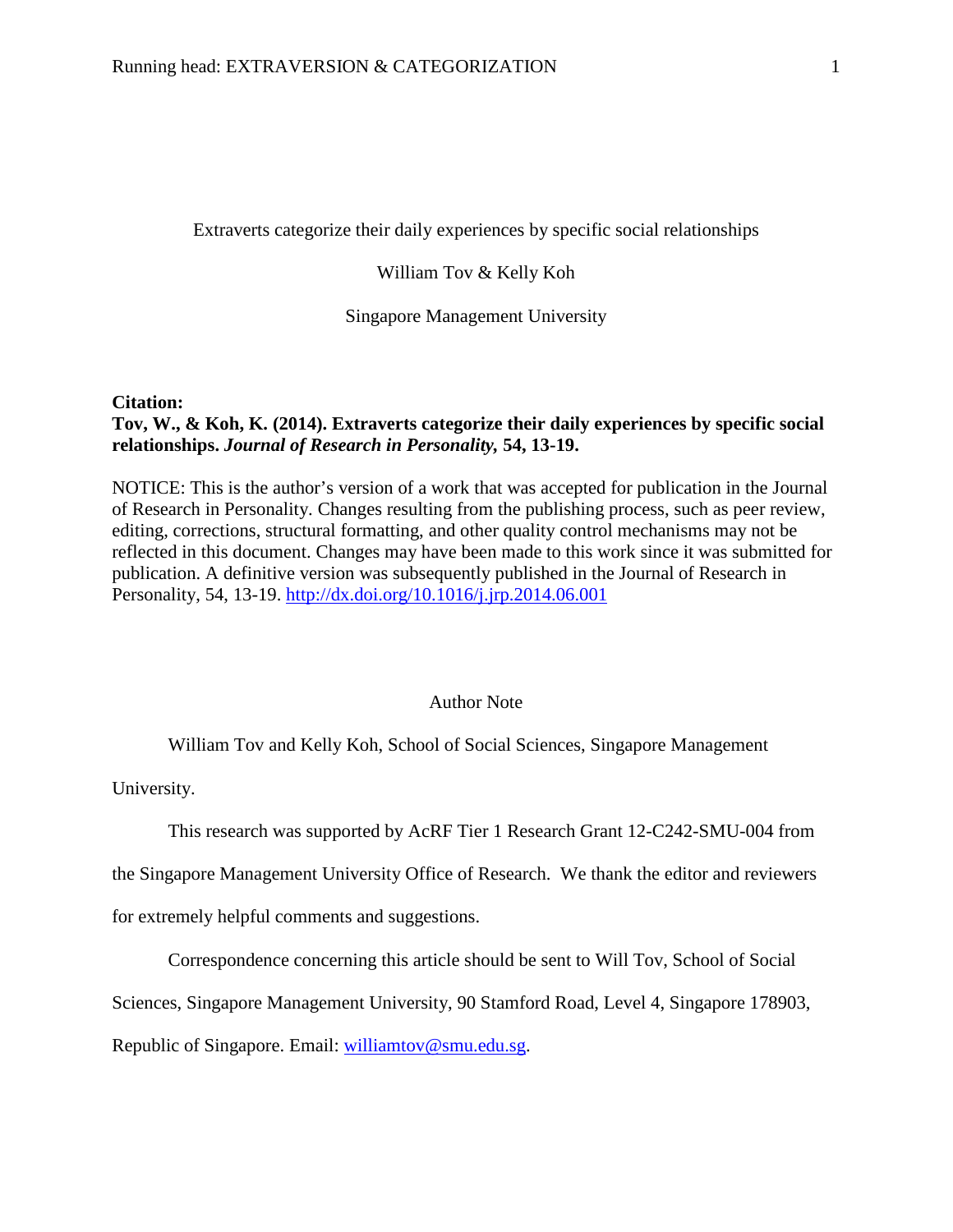Extraverts categorize their daily experiences by specific social relationships

William Tov & Kelly Koh

Singapore Management University

# **Citation:**

# **Tov, W., & Koh, K. (2014). Extraverts categorize their daily experiences by specific social relationships.** *Journal of Research in Personality,* **54, 13-19.**

NOTICE: This is the author's version of a work that was accepted for publication in the Journal of Research in Personality. Changes resulting from the publishing process, such as peer review, editing, corrections, structural formatting, and other quality control mechanisms may not be reflected in this document. Changes may have been made to this work since it was submitted for publication. A definitive version was subsequently published in the Journal of Research in Personality, 54, 13-19. <http://dx.doi.org/10.1016/j.jrp.2014.06.001>

# Author Note

William Tov and Kelly Koh, School of Social Sciences, Singapore Management

University.

This research was supported by AcRF Tier 1 Research Grant 12-C242-SMU-004 from

the Singapore Management University Office of Research. We thank the editor and reviewers

for extremely helpful comments and suggestions.

Correspondence concerning this article should be sent to Will Tov, School of Social

Sciences, Singapore Management University, 90 Stamford Road, Level 4, Singapore 178903,

Republic of Singapore. Email: [williamtov@smu.edu.sg.](mailto:williamtov@smu.edu.sg)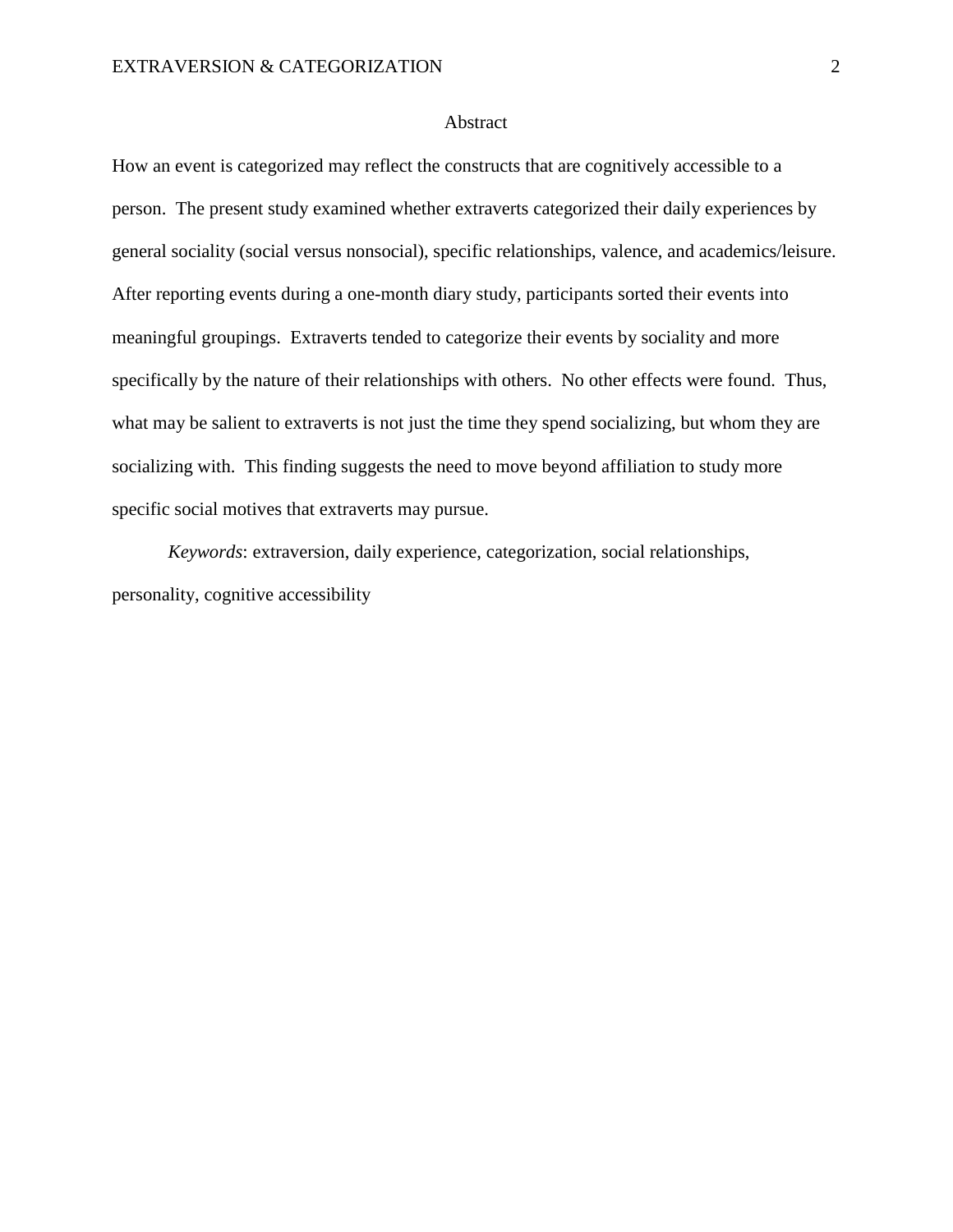## Abstract

How an event is categorized may reflect the constructs that are cognitively accessible to a person. The present study examined whether extraverts categorized their daily experiences by general sociality (social versus nonsocial), specific relationships, valence, and academics/leisure. After reporting events during a one-month diary study, participants sorted their events into meaningful groupings. Extraverts tended to categorize their events by sociality and more specifically by the nature of their relationships with others. No other effects were found. Thus, what may be salient to extraverts is not just the time they spend socializing, but whom they are socializing with. This finding suggests the need to move beyond affiliation to study more specific social motives that extraverts may pursue.

*Keywords*: extraversion, daily experience, categorization, social relationships, personality, cognitive accessibility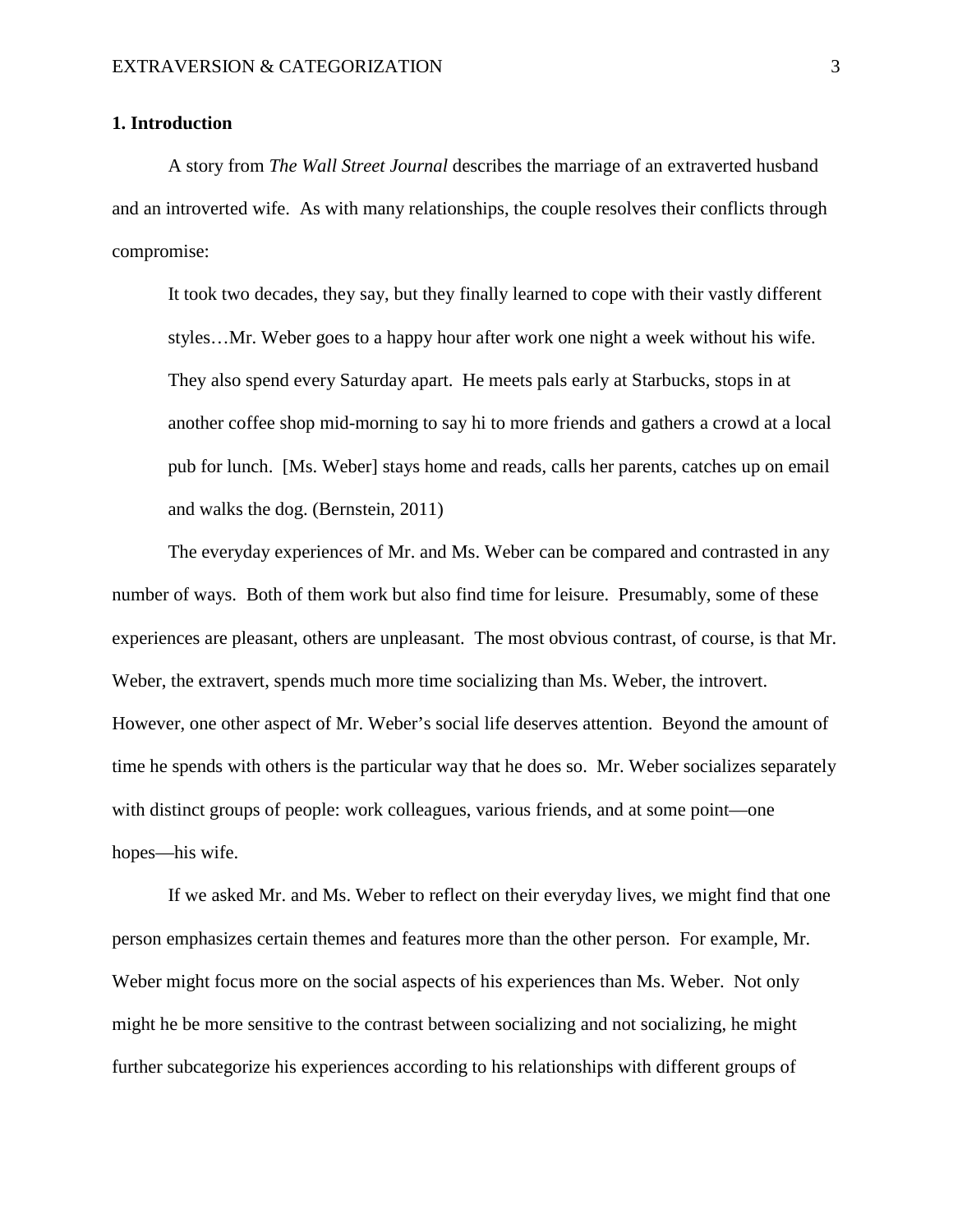### **1. Introduction**

A story from *The Wall Street Journal* describes the marriage of an extraverted husband and an introverted wife. As with many relationships, the couple resolves their conflicts through compromise:

It took two decades, they say, but they finally learned to cope with their vastly different styles…Mr. Weber goes to a happy hour after work one night a week without his wife. They also spend every Saturday apart. He meets pals early at Starbucks, stops in at another coffee shop mid-morning to say hi to more friends and gathers a crowd at a local pub for lunch. [Ms. Weber] stays home and reads, calls her parents, catches up on email and walks the dog. (Bernstein, 2011)

The everyday experiences of Mr. and Ms. Weber can be compared and contrasted in any number of ways. Both of them work but also find time for leisure. Presumably, some of these experiences are pleasant, others are unpleasant. The most obvious contrast, of course, is that Mr. Weber, the extravert, spends much more time socializing than Ms. Weber, the introvert. However, one other aspect of Mr. Weber's social life deserves attention. Beyond the amount of time he spends with others is the particular way that he does so. Mr. Weber socializes separately with distinct groups of people: work colleagues, various friends, and at some point—one hopes—his wife.

If we asked Mr. and Ms. Weber to reflect on their everyday lives, we might find that one person emphasizes certain themes and features more than the other person. For example, Mr. Weber might focus more on the social aspects of his experiences than Ms. Weber. Not only might he be more sensitive to the contrast between socializing and not socializing, he might further subcategorize his experiences according to his relationships with different groups of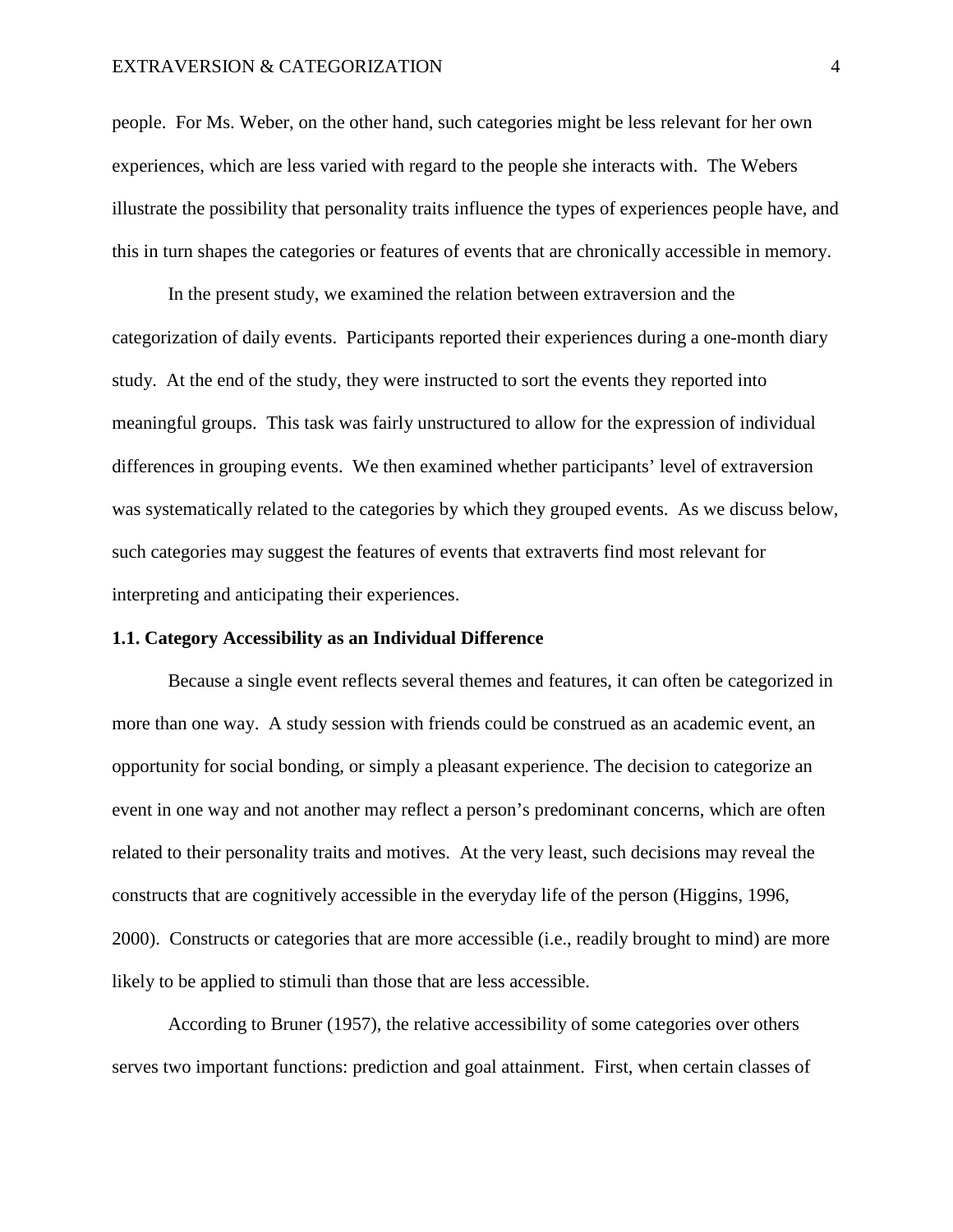#### EXTRAVERSION & CATEGORIZATION 4

people. For Ms. Weber, on the other hand, such categories might be less relevant for her own experiences, which are less varied with regard to the people she interacts with. The Webers illustrate the possibility that personality traits influence the types of experiences people have, and this in turn shapes the categories or features of events that are chronically accessible in memory.

In the present study, we examined the relation between extraversion and the categorization of daily events. Participants reported their experiences during a one-month diary study. At the end of the study, they were instructed to sort the events they reported into meaningful groups. This task was fairly unstructured to allow for the expression of individual differences in grouping events. We then examined whether participants' level of extraversion was systematically related to the categories by which they grouped events. As we discuss below, such categories may suggest the features of events that extraverts find most relevant for interpreting and anticipating their experiences.

### **1.1. Category Accessibility as an Individual Difference**

Because a single event reflects several themes and features, it can often be categorized in more than one way. A study session with friends could be construed as an academic event, an opportunity for social bonding, or simply a pleasant experience. The decision to categorize an event in one way and not another may reflect a person's predominant concerns, which are often related to their personality traits and motives. At the very least, such decisions may reveal the constructs that are cognitively accessible in the everyday life of the person (Higgins, 1996, 2000). Constructs or categories that are more accessible (i.e., readily brought to mind) are more likely to be applied to stimuli than those that are less accessible.

According to Bruner (1957), the relative accessibility of some categories over others serves two important functions: prediction and goal attainment. First, when certain classes of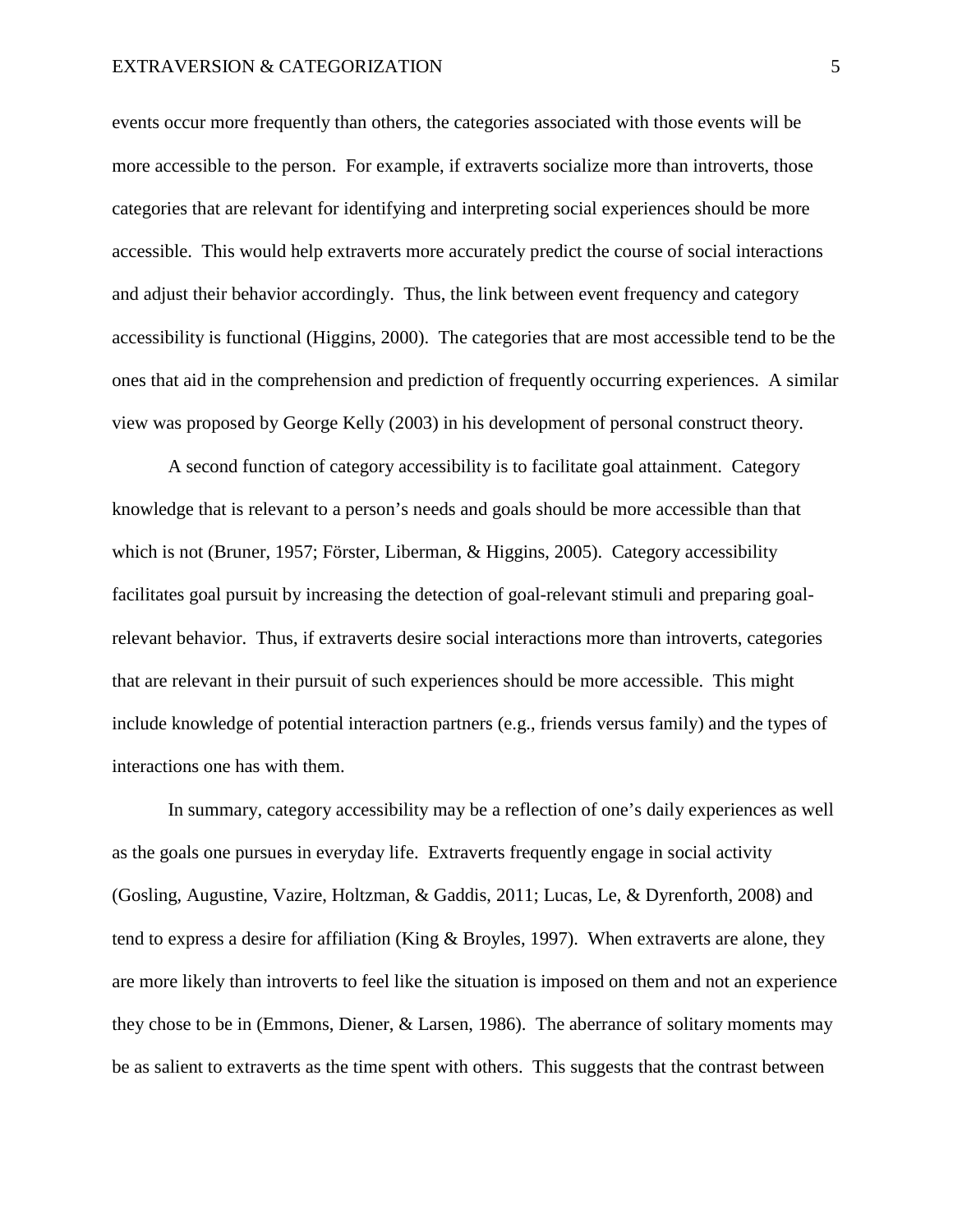events occur more frequently than others, the categories associated with those events will be more accessible to the person. For example, if extraverts socialize more than introverts, those categories that are relevant for identifying and interpreting social experiences should be more accessible. This would help extraverts more accurately predict the course of social interactions and adjust their behavior accordingly. Thus, the link between event frequency and category accessibility is functional (Higgins, 2000). The categories that are most accessible tend to be the ones that aid in the comprehension and prediction of frequently occurring experiences. A similar view was proposed by George Kelly (2003) in his development of personal construct theory.

A second function of category accessibility is to facilitate goal attainment. Category knowledge that is relevant to a person's needs and goals should be more accessible than that which is not (Bruner, 1957; Förster, Liberman, & Higgins, 2005). Category accessibility facilitates goal pursuit by increasing the detection of goal-relevant stimuli and preparing goalrelevant behavior. Thus, if extraverts desire social interactions more than introverts, categories that are relevant in their pursuit of such experiences should be more accessible. This might include knowledge of potential interaction partners (e.g., friends versus family) and the types of interactions one has with them.

In summary, category accessibility may be a reflection of one's daily experiences as well as the goals one pursues in everyday life. Extraverts frequently engage in social activity (Gosling, Augustine, Vazire, Holtzman, & Gaddis, 2011; Lucas, Le, & Dyrenforth, 2008) and tend to express a desire for affiliation (King & Broyles, 1997). When extraverts are alone, they are more likely than introverts to feel like the situation is imposed on them and not an experience they chose to be in (Emmons, Diener, & Larsen, 1986). The aberrance of solitary moments may be as salient to extraverts as the time spent with others. This suggests that the contrast between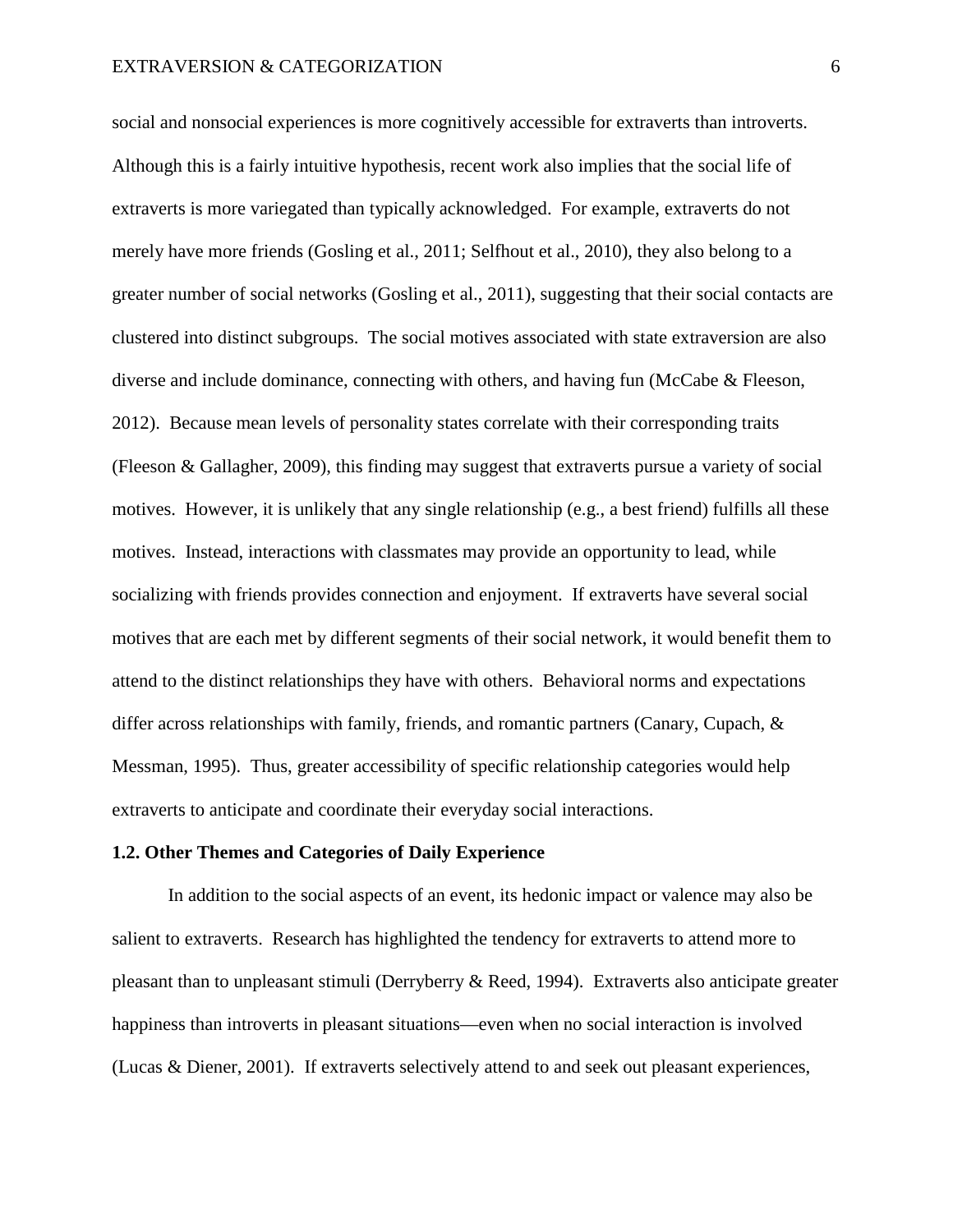social and nonsocial experiences is more cognitively accessible for extraverts than introverts. Although this is a fairly intuitive hypothesis, recent work also implies that the social life of extraverts is more variegated than typically acknowledged. For example, extraverts do not merely have more friends (Gosling et al., 2011; Selfhout et al., 2010), they also belong to a greater number of social networks (Gosling et al., 2011), suggesting that their social contacts are clustered into distinct subgroups. The social motives associated with state extraversion are also diverse and include dominance, connecting with others, and having fun (McCabe & Fleeson, 2012). Because mean levels of personality states correlate with their corresponding traits (Fleeson & Gallagher, 2009), this finding may suggest that extraverts pursue a variety of social motives. However, it is unlikely that any single relationship (e.g., a best friend) fulfills all these motives. Instead, interactions with classmates may provide an opportunity to lead, while socializing with friends provides connection and enjoyment. If extraverts have several social motives that are each met by different segments of their social network, it would benefit them to attend to the distinct relationships they have with others. Behavioral norms and expectations differ across relationships with family, friends, and romantic partners (Canary, Cupach, & Messman, 1995). Thus, greater accessibility of specific relationship categories would help extraverts to anticipate and coordinate their everyday social interactions.

### **1.2. Other Themes and Categories of Daily Experience**

In addition to the social aspects of an event, its hedonic impact or valence may also be salient to extraverts. Research has highlighted the tendency for extraverts to attend more to pleasant than to unpleasant stimuli (Derryberry & Reed, 1994). Extraverts also anticipate greater happiness than introverts in pleasant situations—even when no social interaction is involved (Lucas & Diener, 2001). If extraverts selectively attend to and seek out pleasant experiences,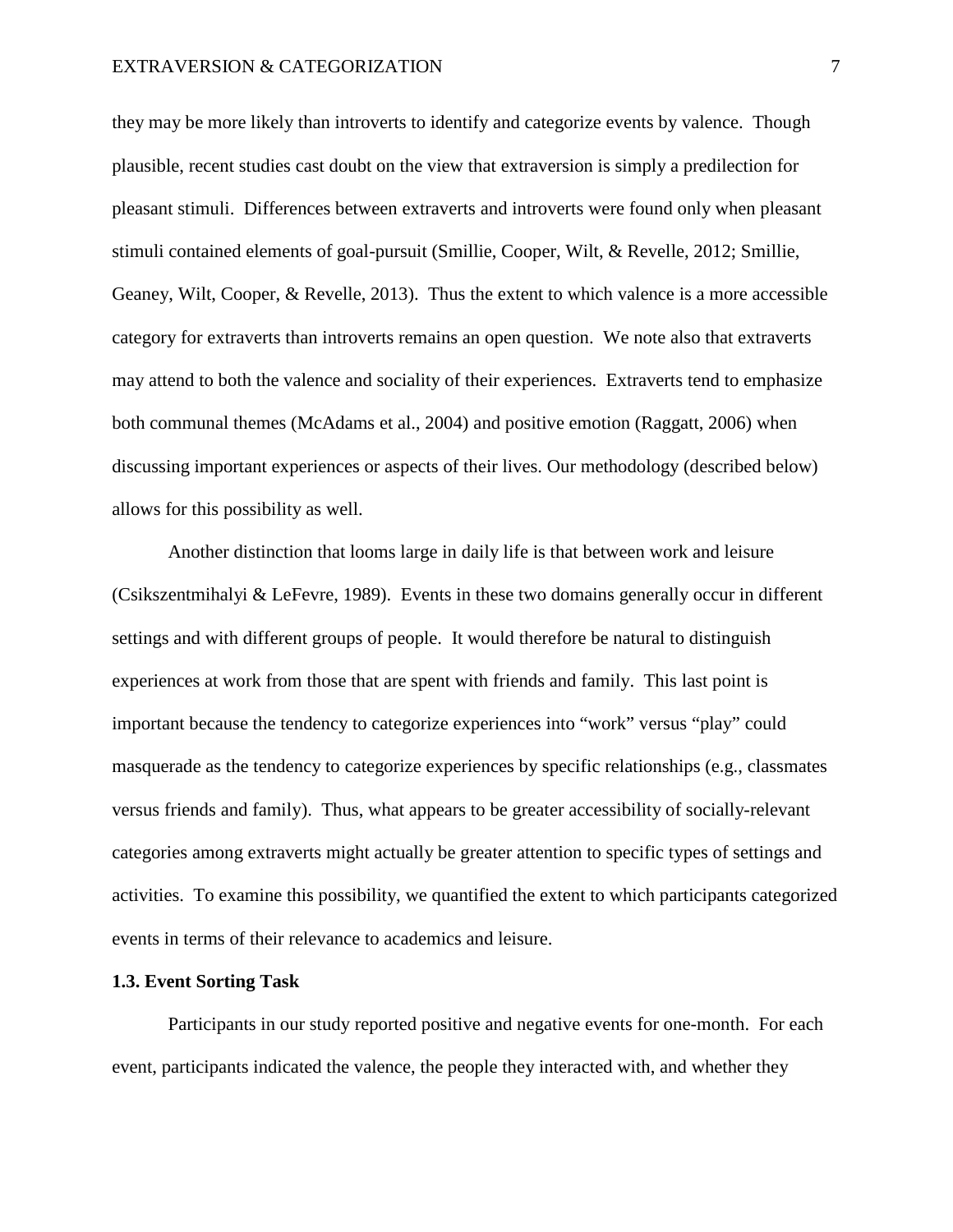## EXTRAVERSION & CATEGORIZATION 7

they may be more likely than introverts to identify and categorize events by valence. Though plausible, recent studies cast doubt on the view that extraversion is simply a predilection for pleasant stimuli. Differences between extraverts and introverts were found only when pleasant stimuli contained elements of goal-pursuit (Smillie, Cooper, Wilt, & Revelle, 2012; Smillie, Geaney, Wilt, Cooper, & Revelle, 2013). Thus the extent to which valence is a more accessible category for extraverts than introverts remains an open question. We note also that extraverts may attend to both the valence and sociality of their experiences. Extraverts tend to emphasize both communal themes (McAdams et al., 2004) and positive emotion (Raggatt, 2006) when discussing important experiences or aspects of their lives. Our methodology (described below) allows for this possibility as well.

Another distinction that looms large in daily life is that between work and leisure (Csikszentmihalyi & LeFevre, 1989). Events in these two domains generally occur in different settings and with different groups of people. It would therefore be natural to distinguish experiences at work from those that are spent with friends and family. This last point is important because the tendency to categorize experiences into "work" versus "play" could masquerade as the tendency to categorize experiences by specific relationships (e.g., classmates versus friends and family). Thus, what appears to be greater accessibility of socially-relevant categories among extraverts might actually be greater attention to specific types of settings and activities. To examine this possibility, we quantified the extent to which participants categorized events in terms of their relevance to academics and leisure.

# **1.3. Event Sorting Task**

Participants in our study reported positive and negative events for one-month. For each event, participants indicated the valence, the people they interacted with, and whether they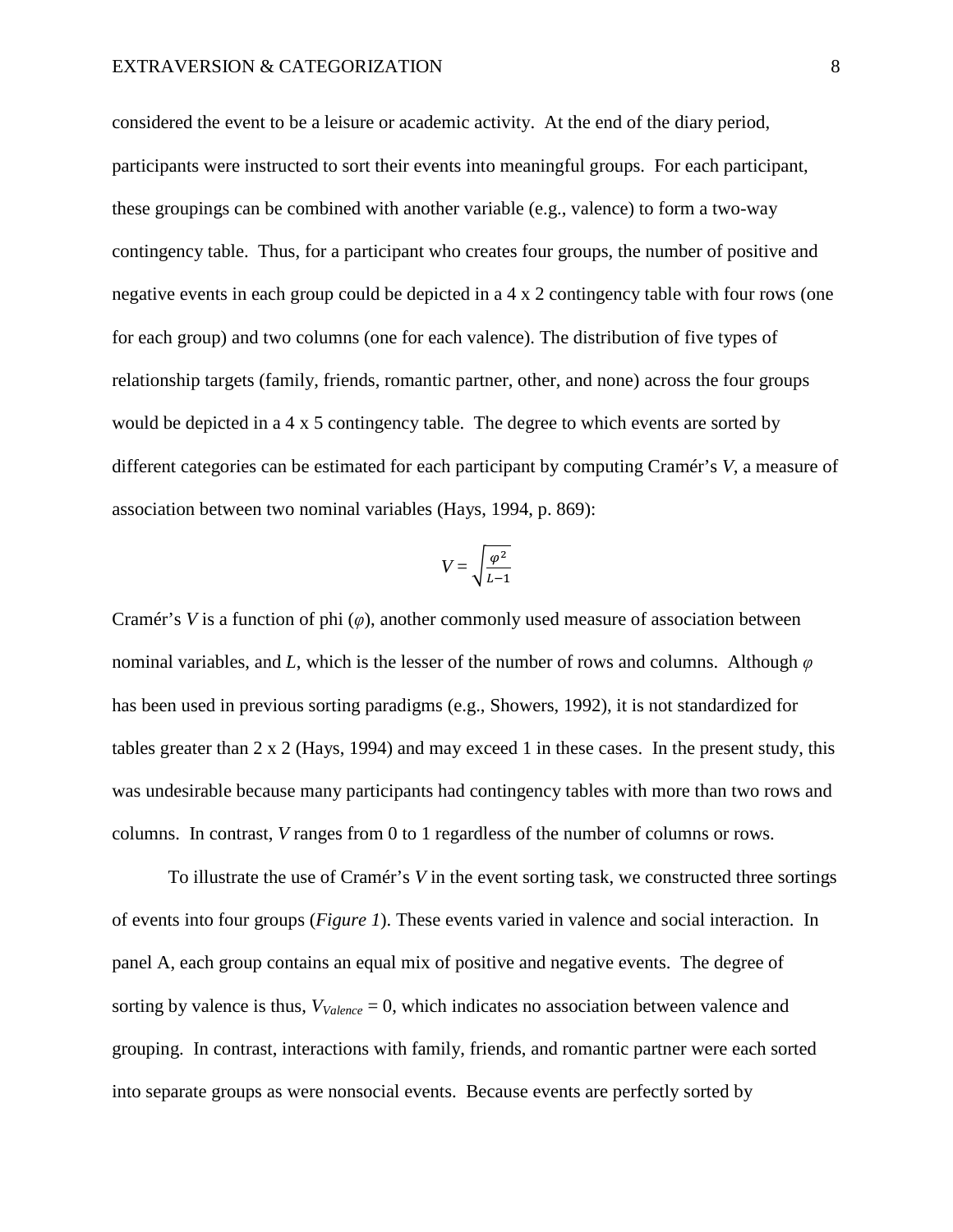considered the event to be a leisure or academic activity. At the end of the diary period, participants were instructed to sort their events into meaningful groups. For each participant, these groupings can be combined with another variable (e.g., valence) to form a two-way contingency table. Thus, for a participant who creates four groups, the number of positive and negative events in each group could be depicted in a 4 x 2 contingency table with four rows (one for each group) and two columns (one for each valence). The distribution of five types of relationship targets (family, friends, romantic partner, other, and none) across the four groups would be depicted in a 4 x 5 contingency table. The degree to which events are sorted by different categories can be estimated for each participant by computing Cramér's *V,* a measure of association between two nominal variables (Hays, 1994, p. 869):

$$
V = \sqrt{\frac{\varphi^2}{L - 1}}
$$

Cramér's *V* is a function of phi (*φ*), another commonly used measure of association between nominal variables, and *L*, which is the lesser of the number of rows and columns. Although *φ* has been used in previous sorting paradigms (e.g., Showers, 1992), it is not standardized for tables greater than  $2 \times 2$  (Hays, 1994) and may exceed 1 in these cases. In the present study, this was undesirable because many participants had contingency tables with more than two rows and columns. In contrast, *V* ranges from 0 to 1 regardless of the number of columns or rows.

To illustrate the use of Cramér's *V* in the event sorting task, we constructed three sortings of events into four groups (*Figure 1*). These events varied in valence and social interaction. In panel A, each group contains an equal mix of positive and negative events. The degree of sorting by valence is thus,  $V_{Value, c} = 0$ , which indicates no association between valence and grouping. In contrast, interactions with family, friends, and romantic partner were each sorted into separate groups as were nonsocial events. Because events are perfectly sorted by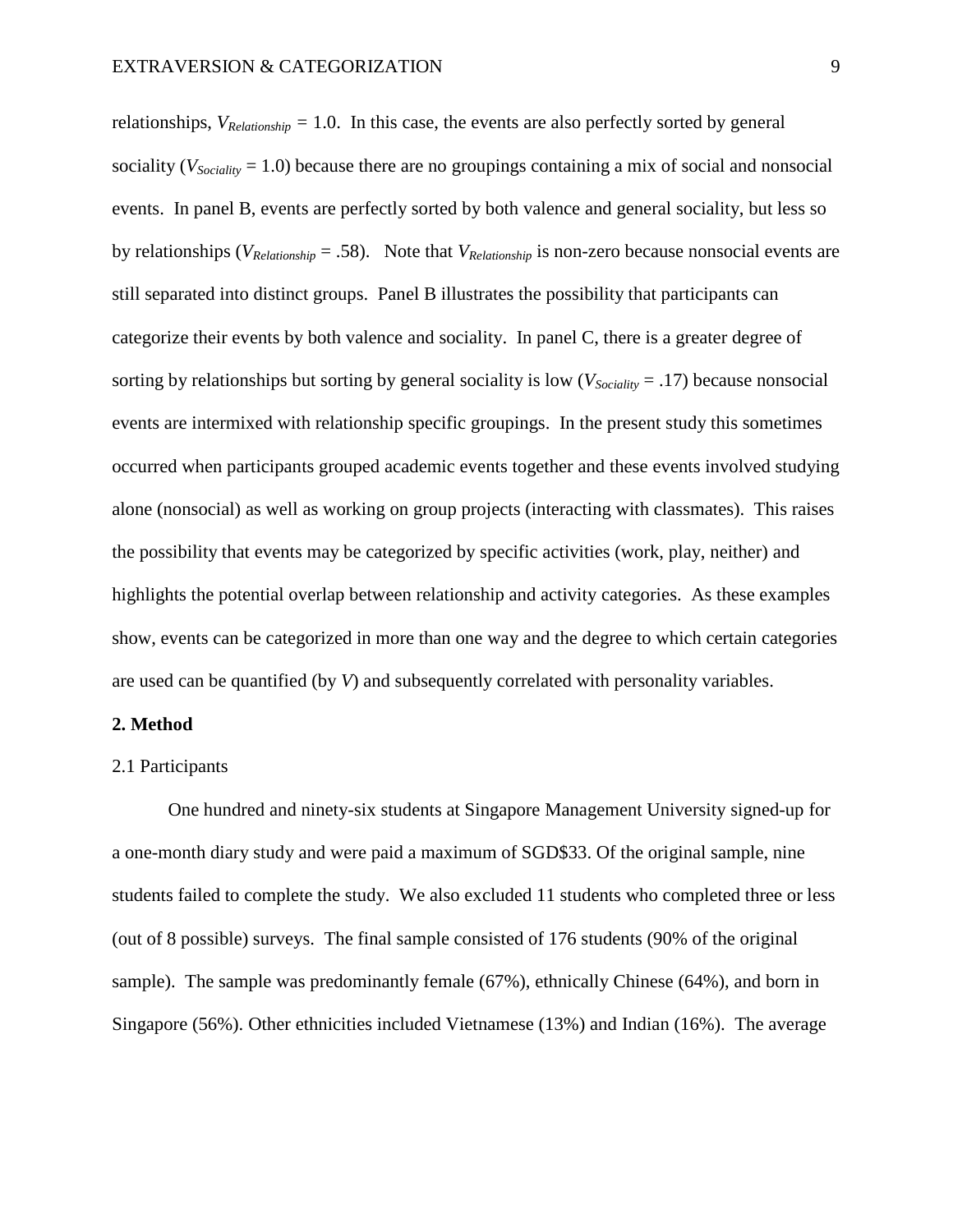relationships,  $V_{\text{Relationship}} = 1.0$ . In this case, the events are also perfectly sorted by general sociality ( $V_{Sociality}$  = 1.0) because there are no groupings containing a mix of social and nonsocial events. In panel B, events are perfectly sorted by both valence and general sociality, but less so by relationships ( $V_{\text{Relationship}} = .58$ ). Note that  $V_{\text{Relationship}}$  is non-zero because nonsocial events are still separated into distinct groups. Panel B illustrates the possibility that participants can categorize their events by both valence and sociality. In panel C, there is a greater degree of sorting by relationships but sorting by general sociality is low  $(V_{Sociality} = .17)$  because nonsocial events are intermixed with relationship specific groupings. In the present study this sometimes occurred when participants grouped academic events together and these events involved studying alone (nonsocial) as well as working on group projects (interacting with classmates). This raises the possibility that events may be categorized by specific activities (work, play, neither) and highlights the potential overlap between relationship and activity categories. As these examples show, events can be categorized in more than one way and the degree to which certain categories are used can be quantified (by *V*) and subsequently correlated with personality variables.

### **2. Method**

#### 2.1 Participants

One hundred and ninety-six students at Singapore Management University signed-up for a one-month diary study and were paid a maximum of SGD\$33. Of the original sample, nine students failed to complete the study. We also excluded 11 students who completed three or less (out of 8 possible) surveys. The final sample consisted of 176 students (90% of the original sample). The sample was predominantly female (67%), ethnically Chinese (64%), and born in Singapore (56%). Other ethnicities included Vietnamese (13%) and Indian (16%). The average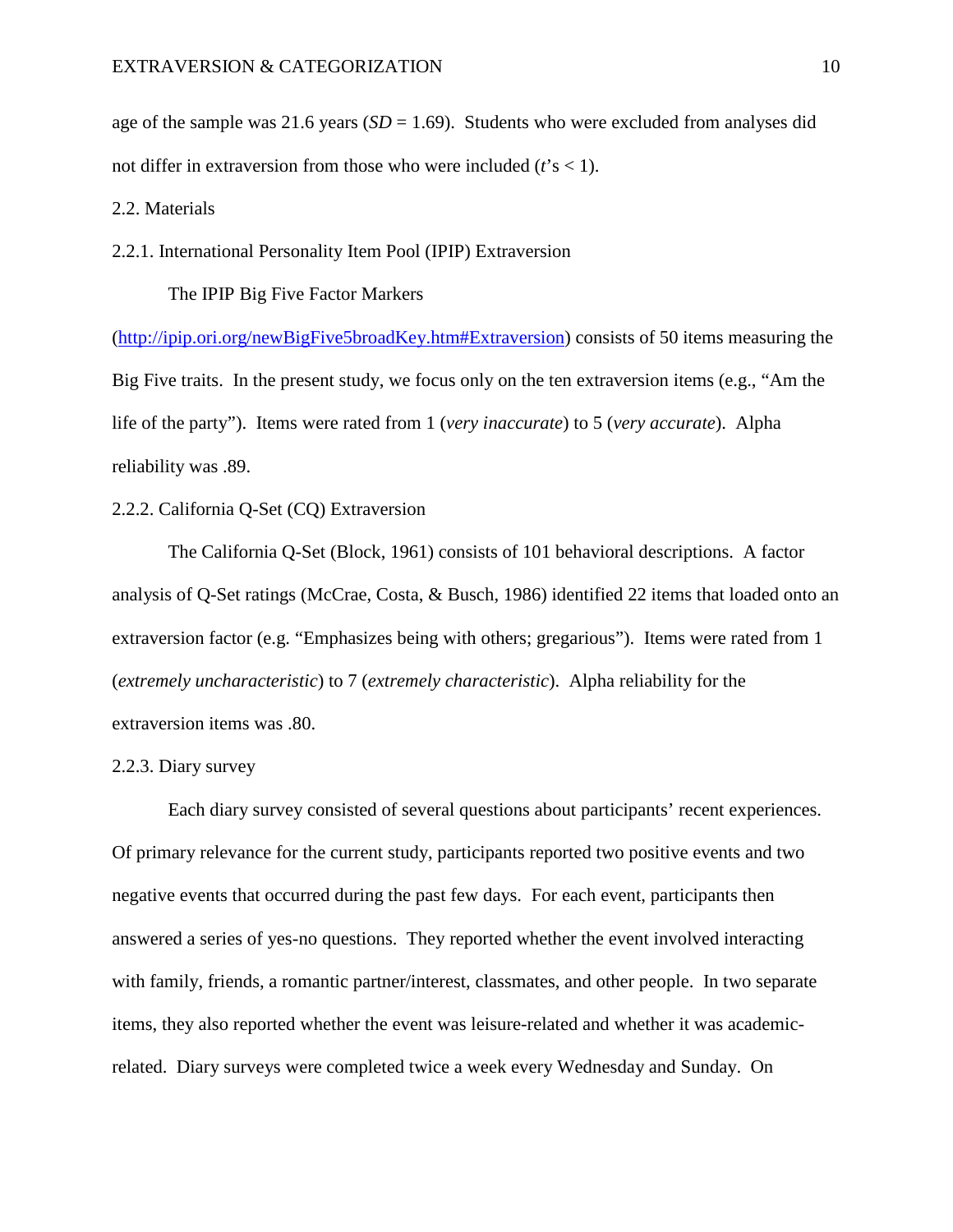age of the sample was 21.6 years  $(SD = 1.69)$ . Students who were excluded from analyses did not differ in extraversion from those who were included (*t*'s < 1).

# 2.2. Materials

## 2.2.1. International Personality Item Pool (IPIP) Extraversion

# The IPIP Big Five Factor Markers

([http://ipip.ori.org/newBigFive5broadKey.htm#Extraversion\)](http://ipip.ori.org/newBigFive5broadKey.htm#Extraversion) consists of 50 items measuring the Big Five traits. In the present study, we focus only on the ten extraversion items (e.g., "Am the life of the party"). Items were rated from 1 (*very inaccurate*) to 5 (*very accurate*). Alpha reliability was .89.

# 2.2.2. California Q-Set (CQ) Extraversion

The California Q-Set (Block, 1961) consists of 101 behavioral descriptions. A factor analysis of Q-Set ratings (McCrae, Costa, & Busch, 1986) identified 22 items that loaded onto an extraversion factor (e.g. "Emphasizes being with others; gregarious"). Items were rated from 1 (*extremely uncharacteristic*) to 7 (*extremely characteristic*). Alpha reliability for the extraversion items was .80.

### 2.2.3. Diary survey

Each diary survey consisted of several questions about participants' recent experiences. Of primary relevance for the current study, participants reported two positive events and two negative events that occurred during the past few days. For each event, participants then answered a series of yes-no questions. They reported whether the event involved interacting with family, friends, a romantic partner/interest, classmates, and other people. In two separate items, they also reported whether the event was leisure-related and whether it was academicrelated. Diary surveys were completed twice a week every Wednesday and Sunday. On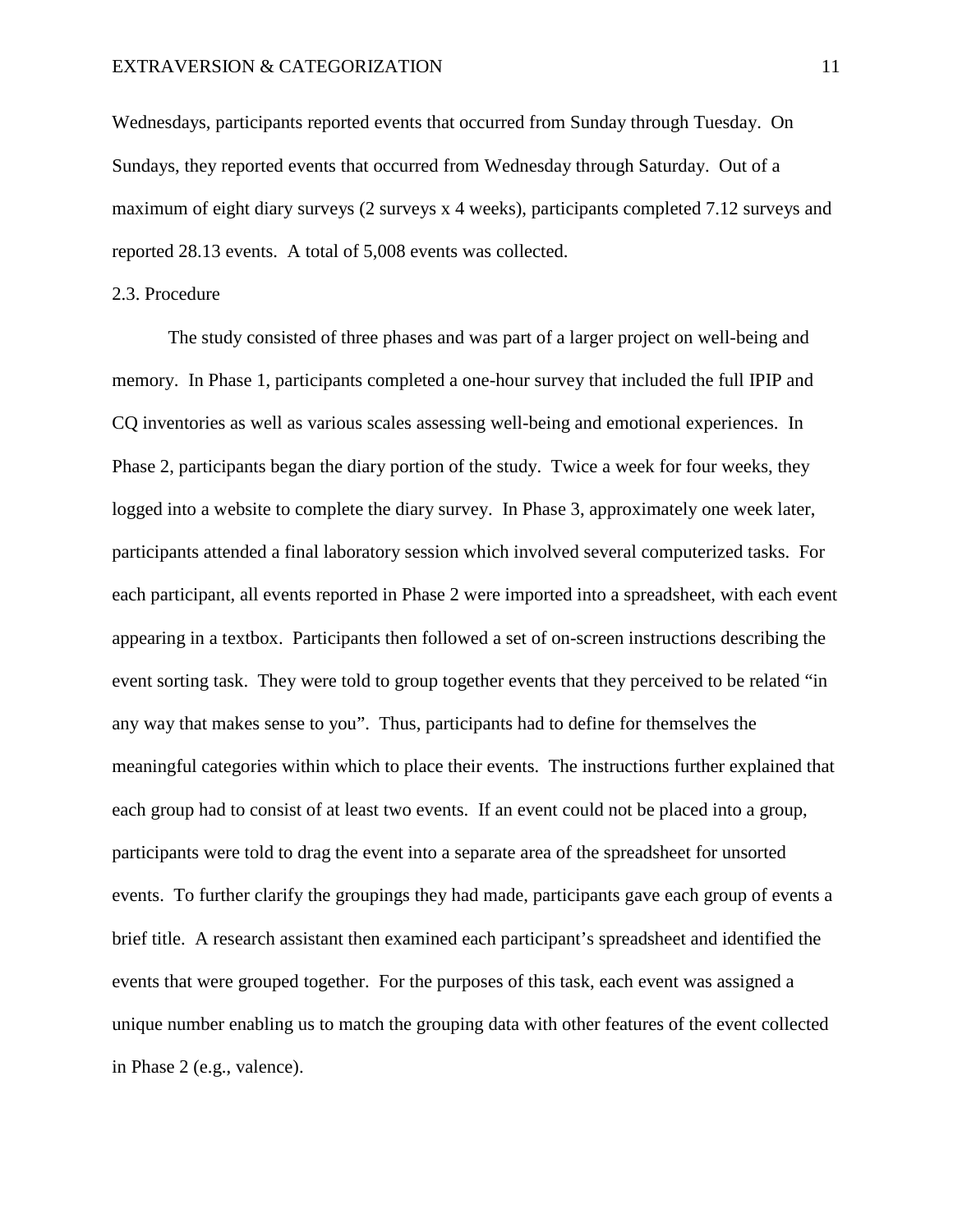Wednesdays, participants reported events that occurred from Sunday through Tuesday. On Sundays, they reported events that occurred from Wednesday through Saturday. Out of a maximum of eight diary surveys (2 surveys x 4 weeks), participants completed 7.12 surveys and reported 28.13 events. A total of 5,008 events was collected.

## 2.3. Procedure

The study consisted of three phases and was part of a larger project on well-being and memory. In Phase 1, participants completed a one-hour survey that included the full IPIP and CQ inventories as well as various scales assessing well-being and emotional experiences. In Phase 2, participants began the diary portion of the study. Twice a week for four weeks, they logged into a website to complete the diary survey. In Phase 3, approximately one week later, participants attended a final laboratory session which involved several computerized tasks. For each participant, all events reported in Phase 2 were imported into a spreadsheet, with each event appearing in a textbox. Participants then followed a set of on-screen instructions describing the event sorting task. They were told to group together events that they perceived to be related "in any way that makes sense to you". Thus, participants had to define for themselves the meaningful categories within which to place their events. The instructions further explained that each group had to consist of at least two events. If an event could not be placed into a group, participants were told to drag the event into a separate area of the spreadsheet for unsorted events. To further clarify the groupings they had made, participants gave each group of events a brief title. A research assistant then examined each participant's spreadsheet and identified the events that were grouped together. For the purposes of this task, each event was assigned a unique number enabling us to match the grouping data with other features of the event collected in Phase 2 (e.g., valence).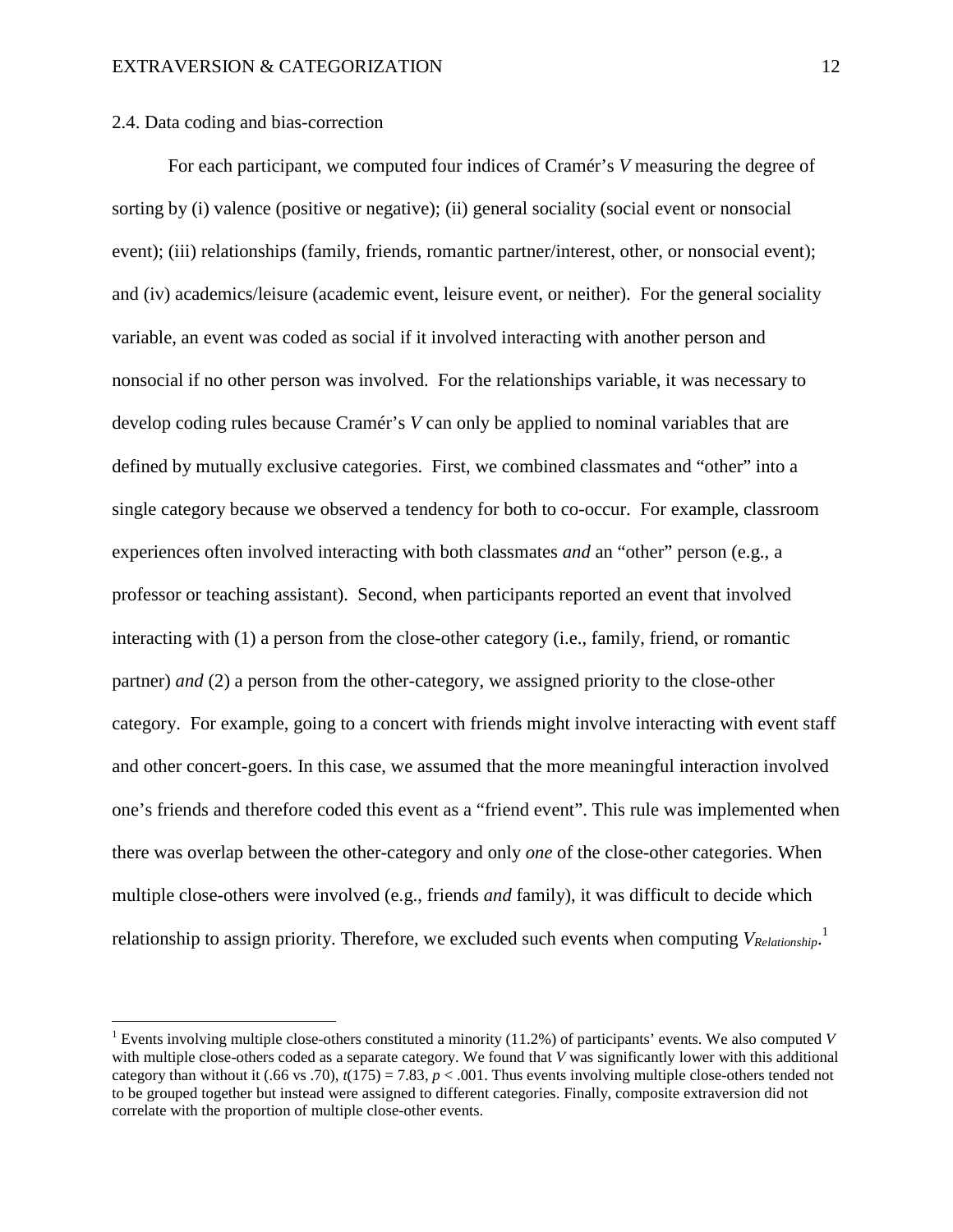### 2.4. Data coding and bias-correction

For each participant, we computed four indices of Cramér's *V* measuring the degree of sorting by (i) valence (positive or negative); (ii) general sociality (social event or nonsocial event); (iii) relationships (family, friends, romantic partner/interest, other, or nonsocial event); and (iv) academics/leisure (academic event, leisure event, or neither). For the general sociality variable, an event was coded as social if it involved interacting with another person and nonsocial if no other person was involved. For the relationships variable, it was necessary to develop coding rules because Cramér's *V* can only be applied to nominal variables that are defined by mutually exclusive categories. First, we combined classmates and "other" into a single category because we observed a tendency for both to co-occur. For example, classroom experiences often involved interacting with both classmates *and* an "other" person (e.g., a professor or teaching assistant). Second, when participants reported an event that involved interacting with (1) a person from the close-other category (i.e., family, friend, or romantic partner) *and* (2) a person from the other-category, we assigned priority to the close-other category. For example, going to a concert with friends might involve interacting with event staff and other concert-goers. In this case, we assumed that the more meaningful interaction involved one's friends and therefore coded this event as a "friend event". This rule was implemented when there was overlap between the other-category and only *one* of the close-other categories. When multiple close-others were involved (e.g., friends *and* family), it was difficult to decide which relationship to assign priority. Therefore, we excluded such events when computing *VRelationship*. 1

<sup>1</sup> Events involving multiple close-others constituted a minority (11.2%) of participants' events. We also computed *V* with multiple close-others coded as a separate category. We found that *V* was significantly lower with this additional category than without it (.66 vs .70),  $t(175) = 7.83$ ,  $p < .001$ . Thus events involving multiple close-others tended not to be grouped together but instead were assigned to different categories. Finally, composite extraversion did not correlate with the proportion of multiple close-other events.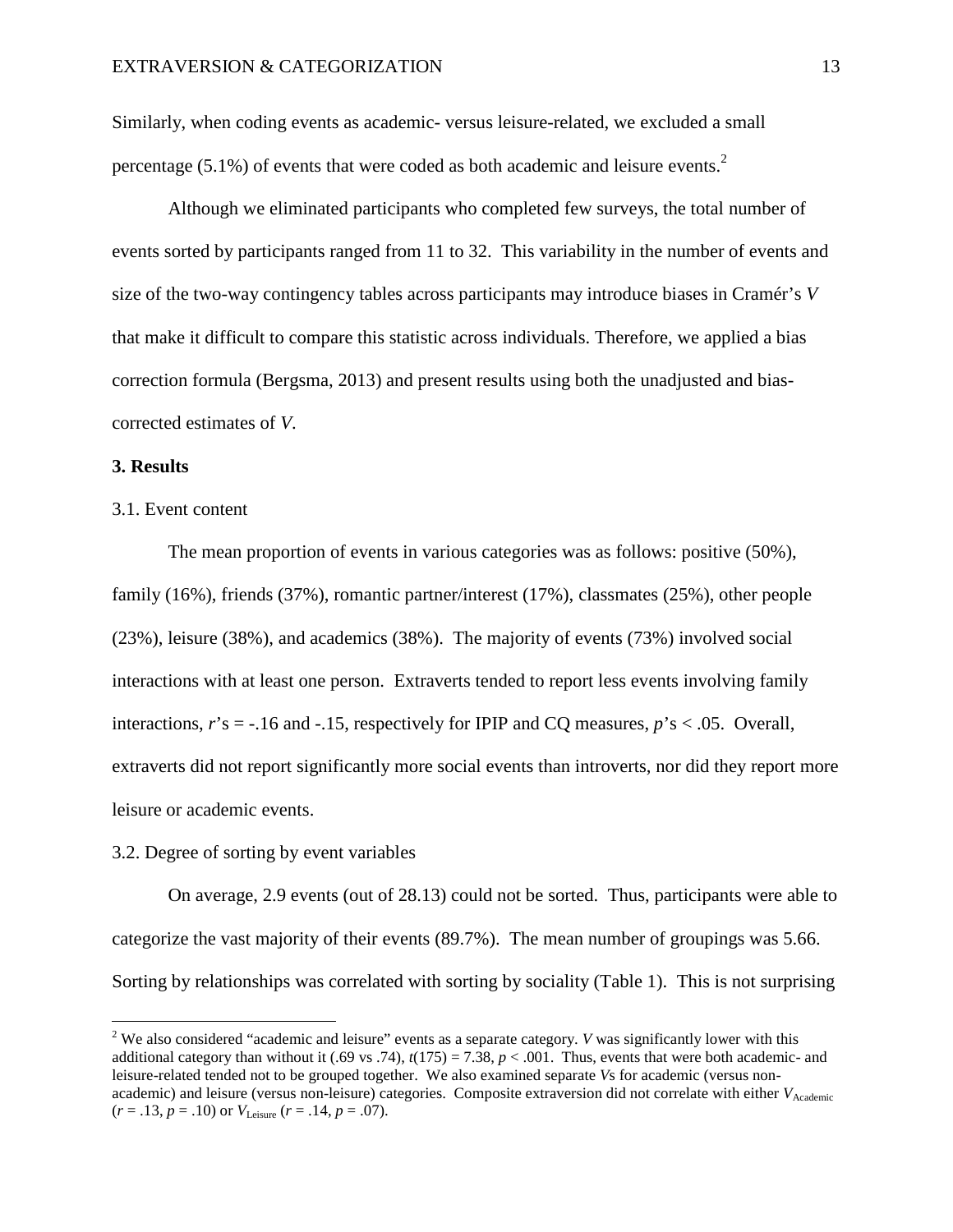Similarly, when coding events as academic- versus leisure-related, we excluded a small percentage (5.1%) of events that were coded as both academic and leisure events.<sup>[2](#page-12-0)</sup>

Although we eliminated participants who completed few surveys, the total number of events sorted by participants ranged from 11 to 32. This variability in the number of events and size of the two-way contingency tables across participants may introduce biases in Cramér's *V* that make it difficult to compare this statistic across individuals. Therefore, we applied a bias correction formula (Bergsma, 2013) and present results using both the unadjusted and biascorrected estimates of *V*.

### **3. Results**

#### 3.1. Event content

The mean proportion of events in various categories was as follows: positive (50%), family (16%), friends (37%), romantic partner/interest (17%), classmates (25%), other people (23%), leisure (38%), and academics (38%). The majority of events (73%) involved social interactions with at least one person. Extraverts tended to report less events involving family interactions,  $r$ 's = -.16 and -.15, respectively for IPIP and CQ measures,  $p$ 's < .05. Overall, extraverts did not report significantly more social events than introverts, nor did they report more leisure or academic events.

### 3.2. Degree of sorting by event variables

On average, 2.9 events (out of 28.13) could not be sorted. Thus, participants were able to categorize the vast majority of their events (89.7%). The mean number of groupings was 5.66. Sorting by relationships was correlated with sorting by sociality (Table 1). This is not surprising

<span id="page-12-0"></span><sup>&</sup>lt;sup>2</sup> We also considered "academic and leisure" events as a separate category. *V* was significantly lower with this additional category than without it  $(.69 \text{ vs. } 74)$ ,  $t(175) = 7.38$ ,  $p < .001$ . Thus, events that were both academic- and leisure-related tended not to be grouped together. We also examined separate *V*s for academic (versus nonacademic) and leisure (versus non-leisure) categories. Composite extraversion did not correlate with either *V*<sub>Academic</sub>  $(r = .13, p = .10)$  or  $V_{\text{Leisure}}$   $(r = .14, p = .07)$ .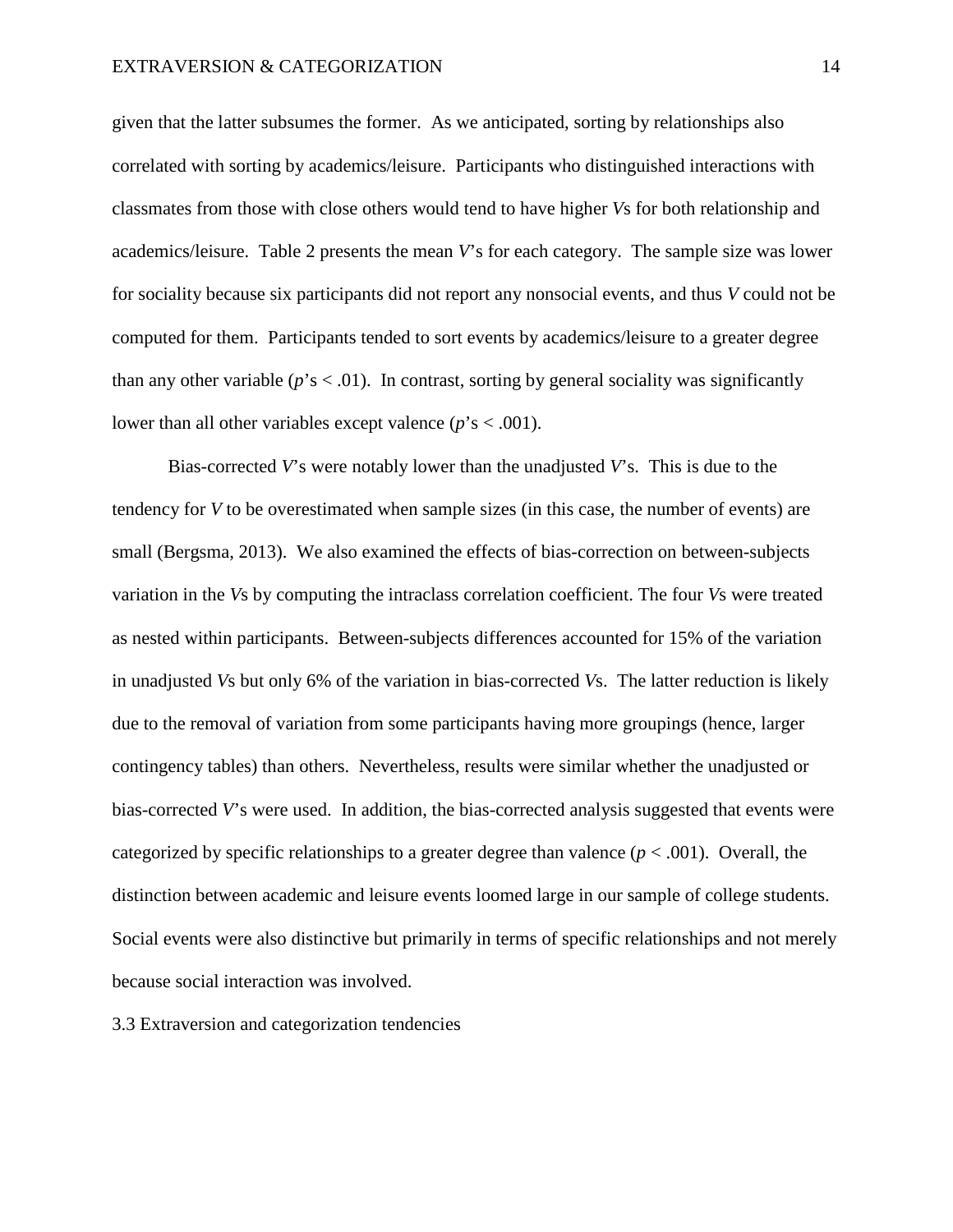given that the latter subsumes the former. As we anticipated, sorting by relationships also correlated with sorting by academics/leisure. Participants who distinguished interactions with classmates from those with close others would tend to have higher *V*s for both relationship and academics/leisure. Table 2 presents the mean *V*'s for each category. The sample size was lower for sociality because six participants did not report any nonsocial events, and thus *V* could not be computed for them. Participants tended to sort events by academics/leisure to a greater degree than any other variable  $(p's < .01)$ . In contrast, sorting by general sociality was significantly lower than all other variables except valence  $(p's < .001)$ .

Bias-corrected *V*'s were notably lower than the unadjusted *V*'s. This is due to the tendency for *V* to be overestimated when sample sizes (in this case, the number of events) are small (Bergsma, 2013). We also examined the effects of bias-correction on between-subjects variation in the *V*s by computing the intraclass correlation coefficient. The four *V*s were treated as nested within participants. Between-subjects differences accounted for 15% of the variation in unadjusted *V*s but only 6% of the variation in bias-corrected *V*s. The latter reduction is likely due to the removal of variation from some participants having more groupings (hence, larger contingency tables) than others. Nevertheless, results were similar whether the unadjusted or bias-corrected *V*'s were used. In addition, the bias-corrected analysis suggested that events were categorized by specific relationships to a greater degree than valence  $(p < .001)$ . Overall, the distinction between academic and leisure events loomed large in our sample of college students. Social events were also distinctive but primarily in terms of specific relationships and not merely because social interaction was involved.

3.3 Extraversion and categorization tendencies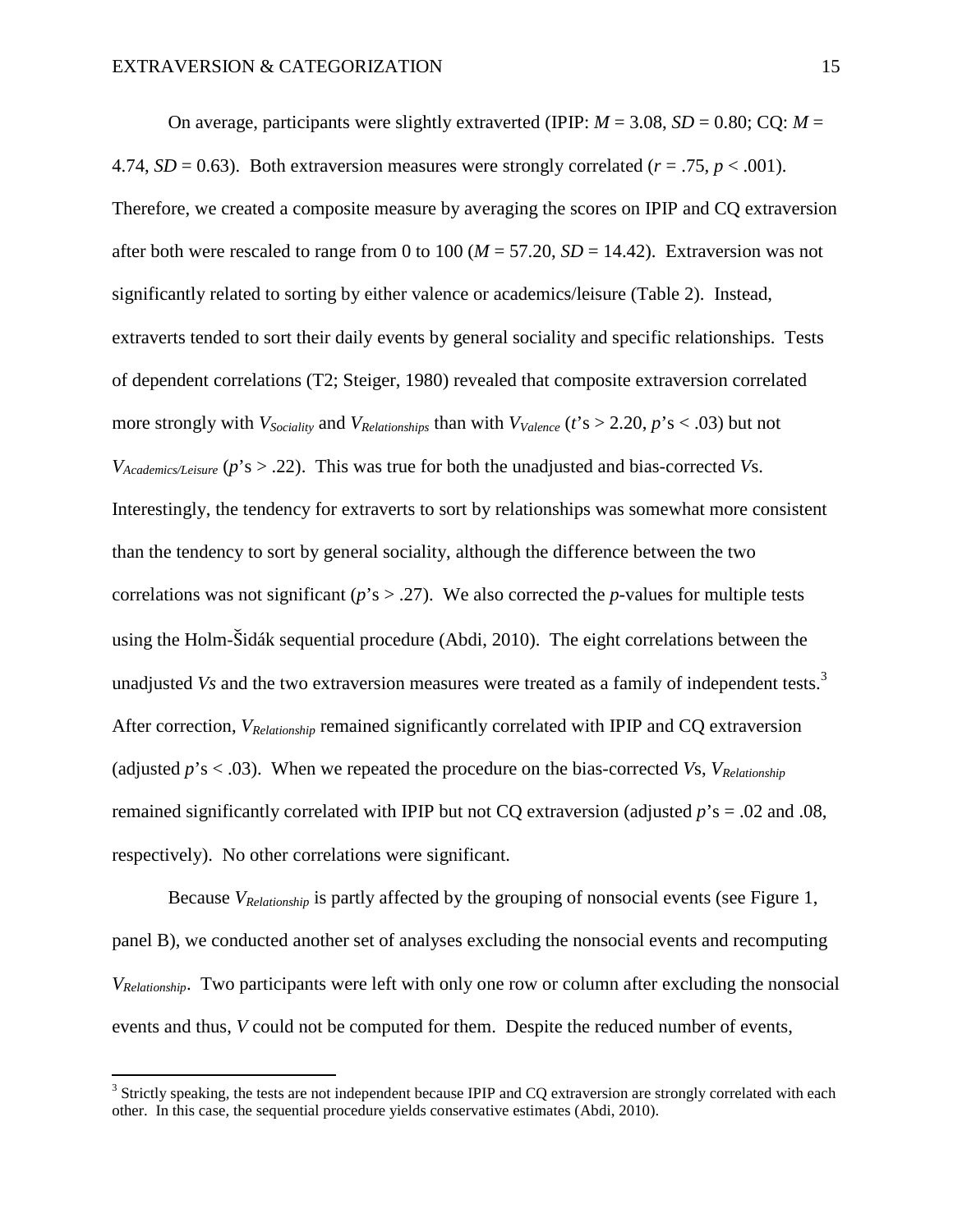On average, participants were slightly extraverted (IPIP:  $M = 3.08$ ,  $SD = 0.80$ ; CO:  $M =$ 4.74,  $SD = 0.63$ ). Both extraversion measures were strongly correlated ( $r = .75$ ,  $p < .001$ ). Therefore, we created a composite measure by averaging the scores on IPIP and CQ extraversion after both were rescaled to range from 0 to 100 ( $M = 57.20$ ,  $SD = 14.42$ ). Extraversion was not significantly related to sorting by either valence or academics/leisure (Table 2). Instead, extraverts tended to sort their daily events by general sociality and specific relationships. Tests of dependent correlations (T2; Steiger, 1980) revealed that composite extraversion correlated more strongly with  $V_{Sociality}$  and  $V_{Relationships}$  than with  $V_{Valence}$  ( $t$ 's > 2.20,  $p$ 's < .03) but not *VAcademics/Leisure* (*p*'s > .22). This was true for both the unadjusted and bias-corrected *V*s. Interestingly, the tendency for extraverts to sort by relationships was somewhat more consistent than the tendency to sort by general sociality, although the difference between the two correlations was not significant ( $p$ 's  $> .27$ ). We also corrected the *p*-values for multiple tests using the Holm-Šidák sequential procedure (Abdi, 2010). The eight correlations between the unadjusted*Vs* and the two extraversion measures were treated as a family of independent tests.<sup>3</sup> After correction, *VRelationship* remained significantly correlated with IPIP and CQ extraversion (adjusted  $p$ 's < .03). When we repeated the procedure on the bias-corrected *Vs*,  $V_{\text{Relationship}}$ remained significantly correlated with IPIP but not CQ extraversion (adjusted *p*'s = .02 and .08, respectively). No other correlations were significant.

Because *VRelationship* is partly affected by the grouping of nonsocial events (see Figure 1, panel B), we conducted another set of analyses excluding the nonsocial events and recomputing *VRelationship*. Two participants were left with only one row or column after excluding the nonsocial events and thus, *V* could not be computed for them. Despite the reduced number of events,

<span id="page-14-0"></span> $3$  Strictly speaking, the tests are not independent because IPIP and CQ extraversion are strongly correlated with each other. In this case, the sequential procedure yields conservative estimates (Abdi, 2010).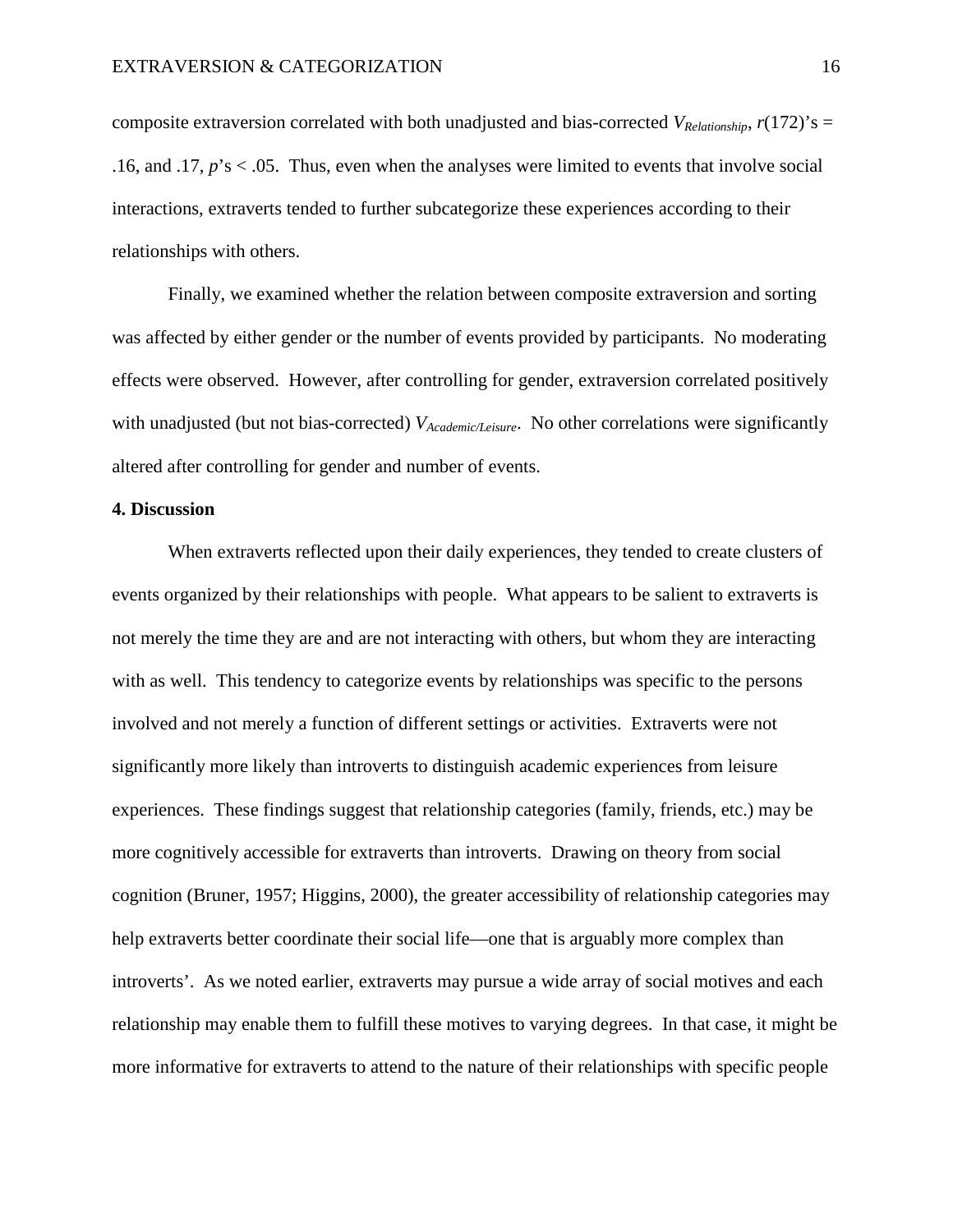composite extraversion correlated with both unadjusted and bias-corrected  $V_{\text{Relationship}}$ ,  $r(172)$ 's = .16, and .17, *p*'s < .05. Thus, even when the analyses were limited to events that involve social interactions, extraverts tended to further subcategorize these experiences according to their relationships with others.

Finally, we examined whether the relation between composite extraversion and sorting was affected by either gender or the number of events provided by participants. No moderating effects were observed. However, after controlling for gender, extraversion correlated positively with unadjusted (but not bias-corrected) *VAcademic/Leisure*. No other correlations were significantly altered after controlling for gender and number of events.

### **4. Discussion**

When extraverts reflected upon their daily experiences, they tended to create clusters of events organized by their relationships with people. What appears to be salient to extraverts is not merely the time they are and are not interacting with others, but whom they are interacting with as well. This tendency to categorize events by relationships was specific to the persons involved and not merely a function of different settings or activities. Extraverts were not significantly more likely than introverts to distinguish academic experiences from leisure experiences. These findings suggest that relationship categories (family, friends, etc.) may be more cognitively accessible for extraverts than introverts. Drawing on theory from social cognition (Bruner, 1957; Higgins, 2000), the greater accessibility of relationship categories may help extraverts better coordinate their social life—one that is arguably more complex than introverts'. As we noted earlier, extraverts may pursue a wide array of social motives and each relationship may enable them to fulfill these motives to varying degrees. In that case, it might be more informative for extraverts to attend to the nature of their relationships with specific people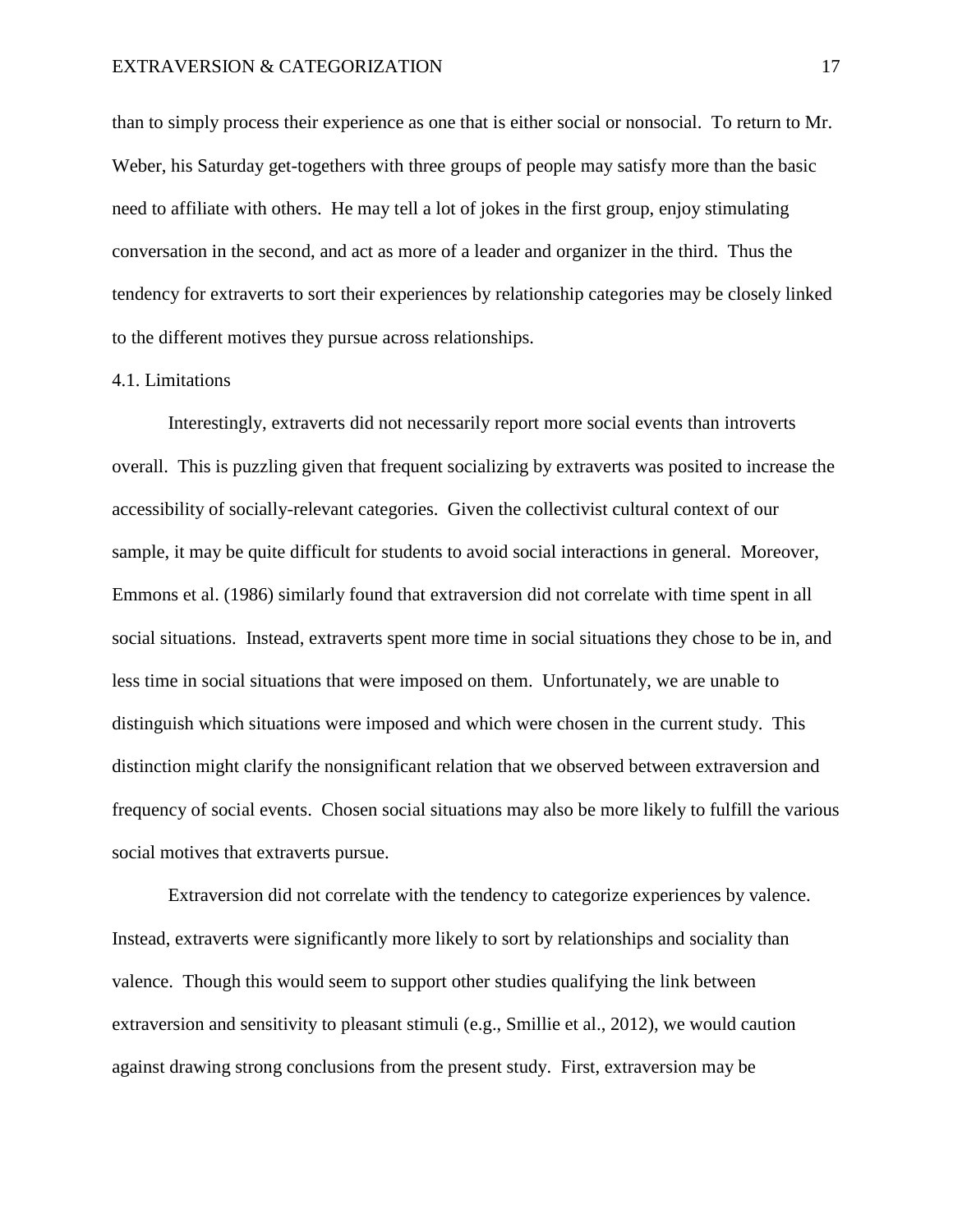than to simply process their experience as one that is either social or nonsocial. To return to Mr. Weber, his Saturday get-togethers with three groups of people may satisfy more than the basic need to affiliate with others. He may tell a lot of jokes in the first group, enjoy stimulating conversation in the second, and act as more of a leader and organizer in the third. Thus the tendency for extraverts to sort their experiences by relationship categories may be closely linked to the different motives they pursue across relationships.

## 4.1. Limitations

Interestingly, extraverts did not necessarily report more social events than introverts overall. This is puzzling given that frequent socializing by extraverts was posited to increase the accessibility of socially-relevant categories. Given the collectivist cultural context of our sample, it may be quite difficult for students to avoid social interactions in general. Moreover, Emmons et al. (1986) similarly found that extraversion did not correlate with time spent in all social situations. Instead, extraverts spent more time in social situations they chose to be in, and less time in social situations that were imposed on them. Unfortunately, we are unable to distinguish which situations were imposed and which were chosen in the current study. This distinction might clarify the nonsignificant relation that we observed between extraversion and frequency of social events. Chosen social situations may also be more likely to fulfill the various social motives that extraverts pursue.

Extraversion did not correlate with the tendency to categorize experiences by valence. Instead, extraverts were significantly more likely to sort by relationships and sociality than valence. Though this would seem to support other studies qualifying the link between extraversion and sensitivity to pleasant stimuli (e.g., Smillie et al., 2012), we would caution against drawing strong conclusions from the present study. First, extraversion may be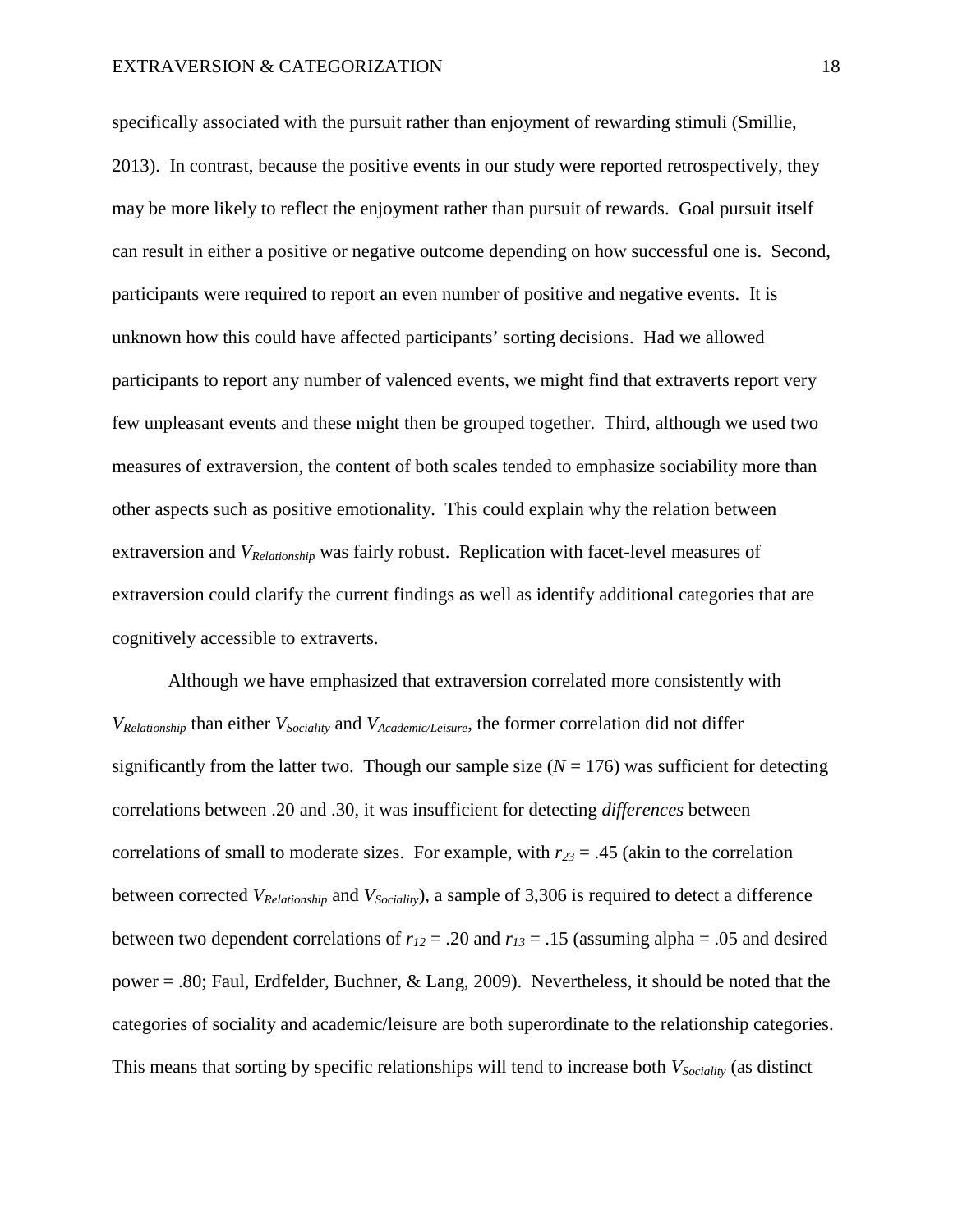specifically associated with the pursuit rather than enjoyment of rewarding stimuli (Smillie, 2013). In contrast, because the positive events in our study were reported retrospectively, they may be more likely to reflect the enjoyment rather than pursuit of rewards. Goal pursuit itself can result in either a positive or negative outcome depending on how successful one is. Second, participants were required to report an even number of positive and negative events. It is unknown how this could have affected participants' sorting decisions. Had we allowed participants to report any number of valenced events, we might find that extraverts report very few unpleasant events and these might then be grouped together. Third, although we used two measures of extraversion, the content of both scales tended to emphasize sociability more than other aspects such as positive emotionality. This could explain why the relation between extraversion and *VRelationship* was fairly robust. Replication with facet-level measures of extraversion could clarify the current findings as well as identify additional categories that are cognitively accessible to extraverts.

Although we have emphasized that extraversion correlated more consistently with *VRelationship* than either *VSociality* and *VAcademic/Leisure*, the former correlation did not differ significantly from the latter two. Though our sample size  $(N = 176)$  was sufficient for detecting correlations between .20 and .30, it was insufficient for detecting *differences* between correlations of small to moderate sizes. For example, with  $r_{23} = .45$  (akin to the correlation between corrected *VRelationship* and *VSociality*), a sample of 3,306 is required to detect a difference between two dependent correlations of  $r_{12} = .20$  and  $r_{13} = .15$  (assuming alpha = .05 and desired power = .80; Faul, Erdfelder, Buchner, & Lang, 2009). Nevertheless, it should be noted that the categories of sociality and academic/leisure are both superordinate to the relationship categories. This means that sorting by specific relationships will tend to increase both *VSociality* (as distinct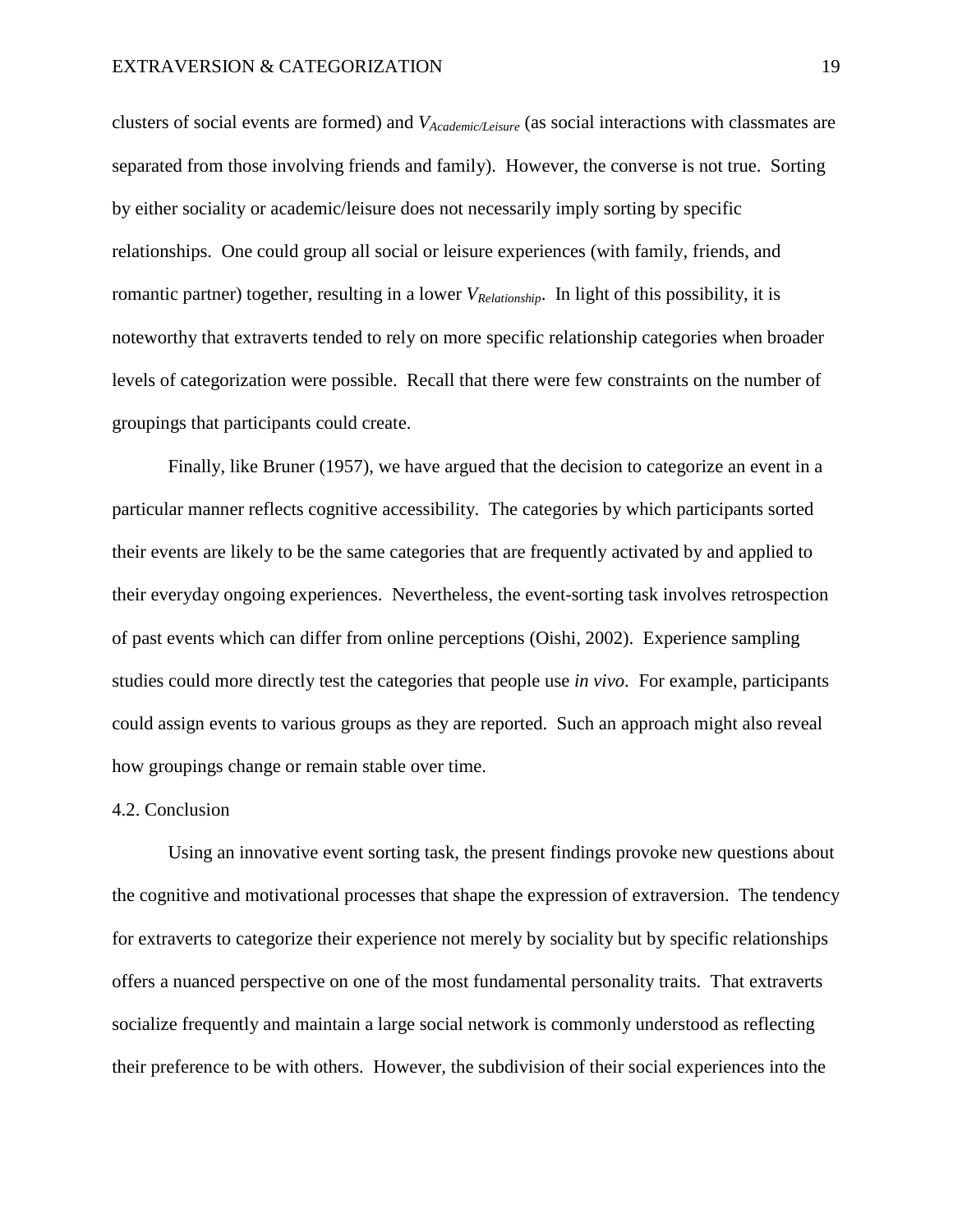clusters of social events are formed) and *VAcademic/Leisure* (as social interactions with classmates are separated from those involving friends and family). However, the converse is not true. Sorting by either sociality or academic/leisure does not necessarily imply sorting by specific relationships. One could group all social or leisure experiences (with family, friends, and romantic partner) together, resulting in a lower *VRelationship*. In light of this possibility, it is noteworthy that extraverts tended to rely on more specific relationship categories when broader levels of categorization were possible. Recall that there were few constraints on the number of groupings that participants could create.

Finally, like Bruner (1957), we have argued that the decision to categorize an event in a particular manner reflects cognitive accessibility. The categories by which participants sorted their events are likely to be the same categories that are frequently activated by and applied to their everyday ongoing experiences. Nevertheless, the event-sorting task involves retrospection of past events which can differ from online perceptions (Oishi, 2002). Experience sampling studies could more directly test the categories that people use *in vivo*. For example, participants could assign events to various groups as they are reported. Such an approach might also reveal how groupings change or remain stable over time.

### 4.2. Conclusion

Using an innovative event sorting task, the present findings provoke new questions about the cognitive and motivational processes that shape the expression of extraversion. The tendency for extraverts to categorize their experience not merely by sociality but by specific relationships offers a nuanced perspective on one of the most fundamental personality traits. That extraverts socialize frequently and maintain a large social network is commonly understood as reflecting their preference to be with others. However, the subdivision of their social experiences into the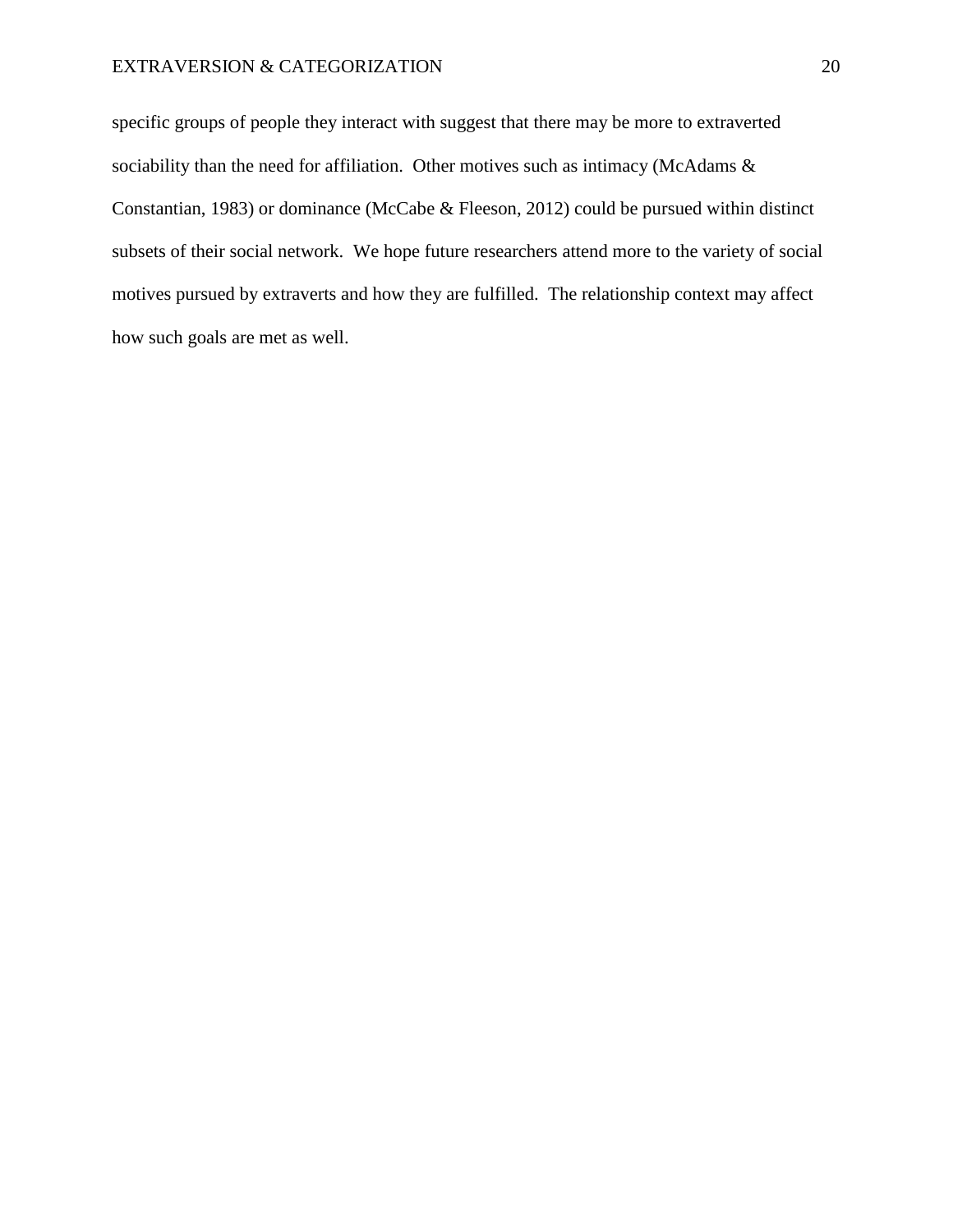# EXTRAVERSION & CATEGORIZATION 20

specific groups of people they interact with suggest that there may be more to extraverted sociability than the need for affiliation. Other motives such as intimacy (McAdams & Constantian, 1983) or dominance (McCabe & Fleeson, 2012) could be pursued within distinct subsets of their social network. We hope future researchers attend more to the variety of social motives pursued by extraverts and how they are fulfilled. The relationship context may affect how such goals are met as well.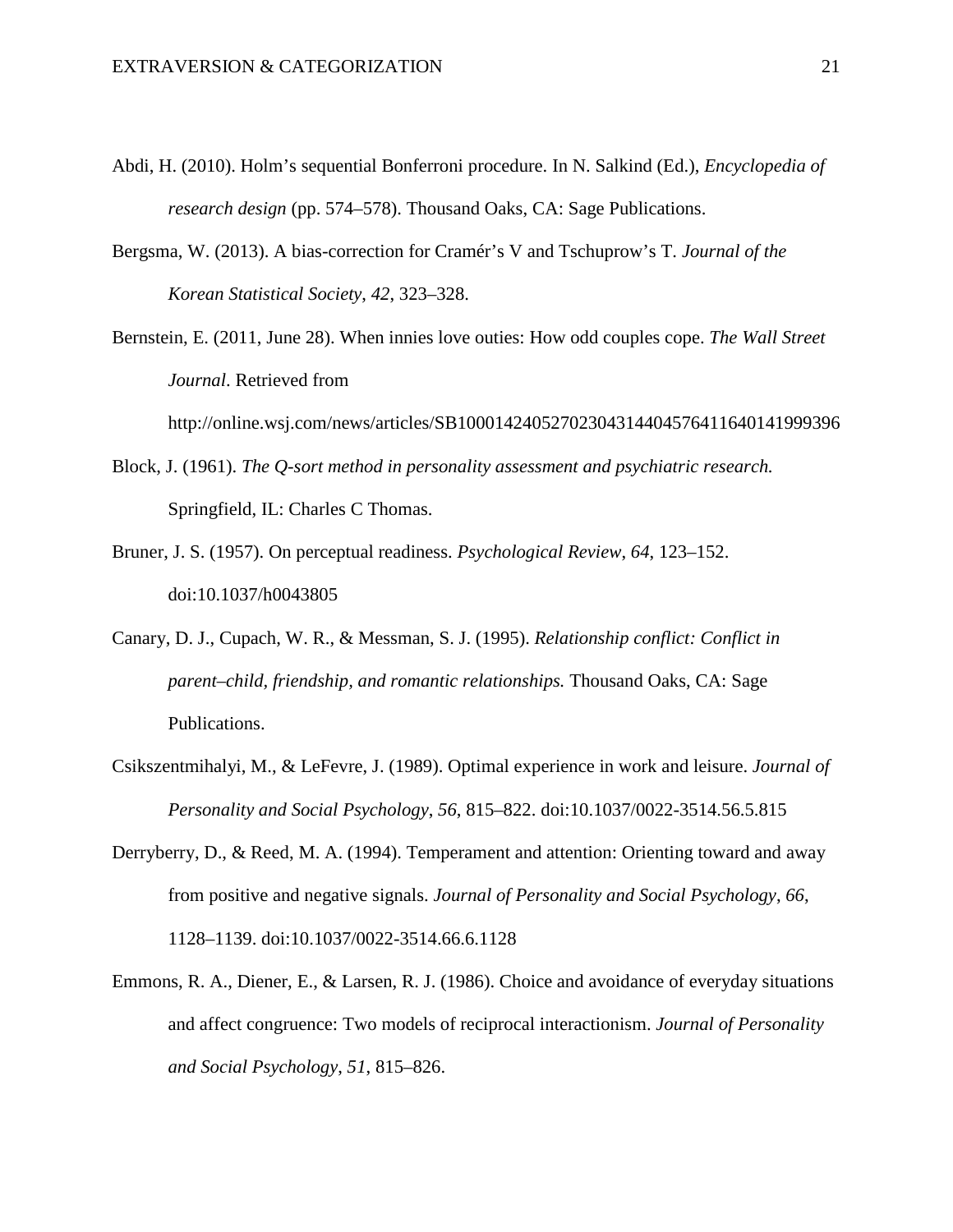- Abdi, H. (2010). Holm's sequential Bonferroni procedure. In N. Salkind (Ed.), *Encyclopedia of research design* (pp. 574–578). Thousand Oaks, CA: Sage Publications.
- Bergsma, W. (2013). A bias-correction for Cramér's V and Tschuprow's T. *Journal of the Korean Statistical Society*, *42*, 323–328.
- Bernstein, E. (2011, June 28). When innies love outies: How odd couples cope. *The Wall Street Journal*. Retrieved from

http://online.wsj.com/news/articles/SB10001424052702304314404576411640141999396

- Block, J. (1961). *The Q-sort method in personality assessment and psychiatric research.* Springfield, IL: Charles C Thomas.
- Bruner, J. S. (1957). On perceptual readiness. *Psychological Review*, *64*, 123–152. doi:10.1037/h0043805
- Canary, D. J., Cupach, W. R., & Messman, S. J. (1995). *Relationship conflict: Conflict in parent–child, friendship, and romantic relationships.* Thousand Oaks, CA: Sage Publications.
- Csikszentmihalyi, M., & LeFevre, J. (1989). Optimal experience in work and leisure. *Journal of Personality and Social Psychology*, *56*, 815–822. doi:10.1037/0022-3514.56.5.815
- Derryberry, D., & Reed, M. A. (1994). Temperament and attention: Orienting toward and away from positive and negative signals. *Journal of Personality and Social Psychology*, *66*, 1128–1139. doi:10.1037/0022-3514.66.6.1128
- Emmons, R. A., Diener, E., & Larsen, R. J. (1986). Choice and avoidance of everyday situations and affect congruence: Two models of reciprocal interactionism. *Journal of Personality and Social Psychology*, *51*, 815–826.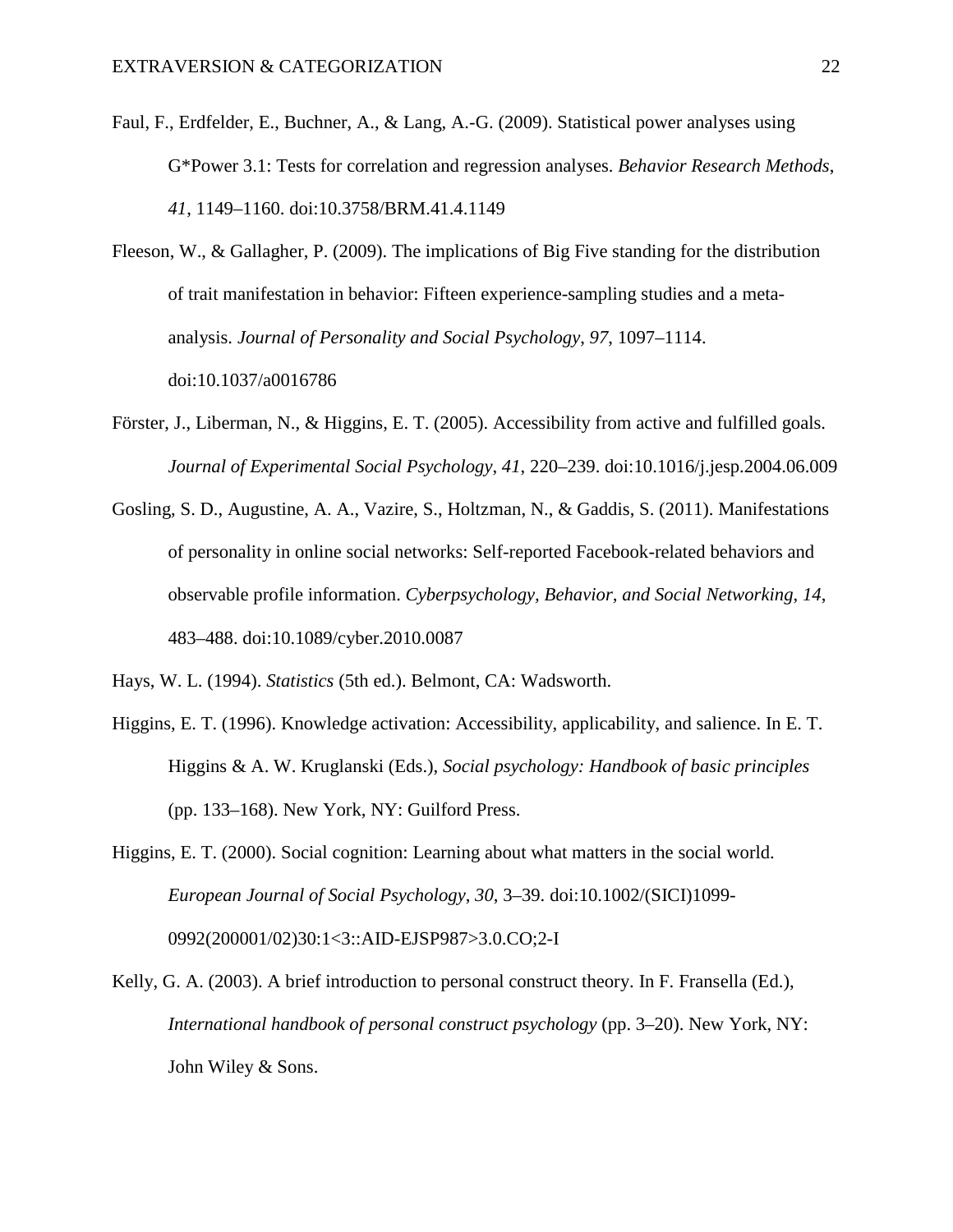- Faul, F., Erdfelder, E., Buchner, A., & Lang, A.-G. (2009). Statistical power analyses using G\*Power 3.1: Tests for correlation and regression analyses. *Behavior Research Methods*, *41*, 1149–1160. doi:10.3758/BRM.41.4.1149
- Fleeson, W., & Gallagher, P. (2009). The implications of Big Five standing for the distribution of trait manifestation in behavior: Fifteen experience-sampling studies and a metaanalysis. *Journal of Personality and Social Psychology*, *97*, 1097–1114. doi:10.1037/a0016786
- Förster, J., Liberman, N., & Higgins, E. T. (2005). Accessibility from active and fulfilled goals. *Journal of Experimental Social Psychology*, *41*, 220–239. doi:10.1016/j.jesp.2004.06.009
- Gosling, S. D., Augustine, A. A., Vazire, S., Holtzman, N., & Gaddis, S. (2011). Manifestations of personality in online social networks: Self-reported Facebook-related behaviors and observable profile information. *Cyberpsychology, Behavior, and Social Networking*, *14*, 483–488. doi:10.1089/cyber.2010.0087
- Hays, W. L. (1994). *Statistics* (5th ed.). Belmont, CA: Wadsworth.
- Higgins, E. T. (1996). Knowledge activation: Accessibility, applicability, and salience. In E. T. Higgins & A. W. Kruglanski (Eds.), *Social psychology: Handbook of basic principles* (pp. 133–168). New York, NY: Guilford Press.
- Higgins, E. T. (2000). Social cognition: Learning about what matters in the social world. *European Journal of Social Psychology*, *30*, 3–39. doi:10.1002/(SICI)1099- 0992(200001/02)30:1<3::AID-EJSP987>3.0.CO;2-I
- Kelly, G. A. (2003). A brief introduction to personal construct theory. In F. Fransella (Ed.), *International handbook of personal construct psychology* (pp. 3–20). New York, NY: John Wiley & Sons.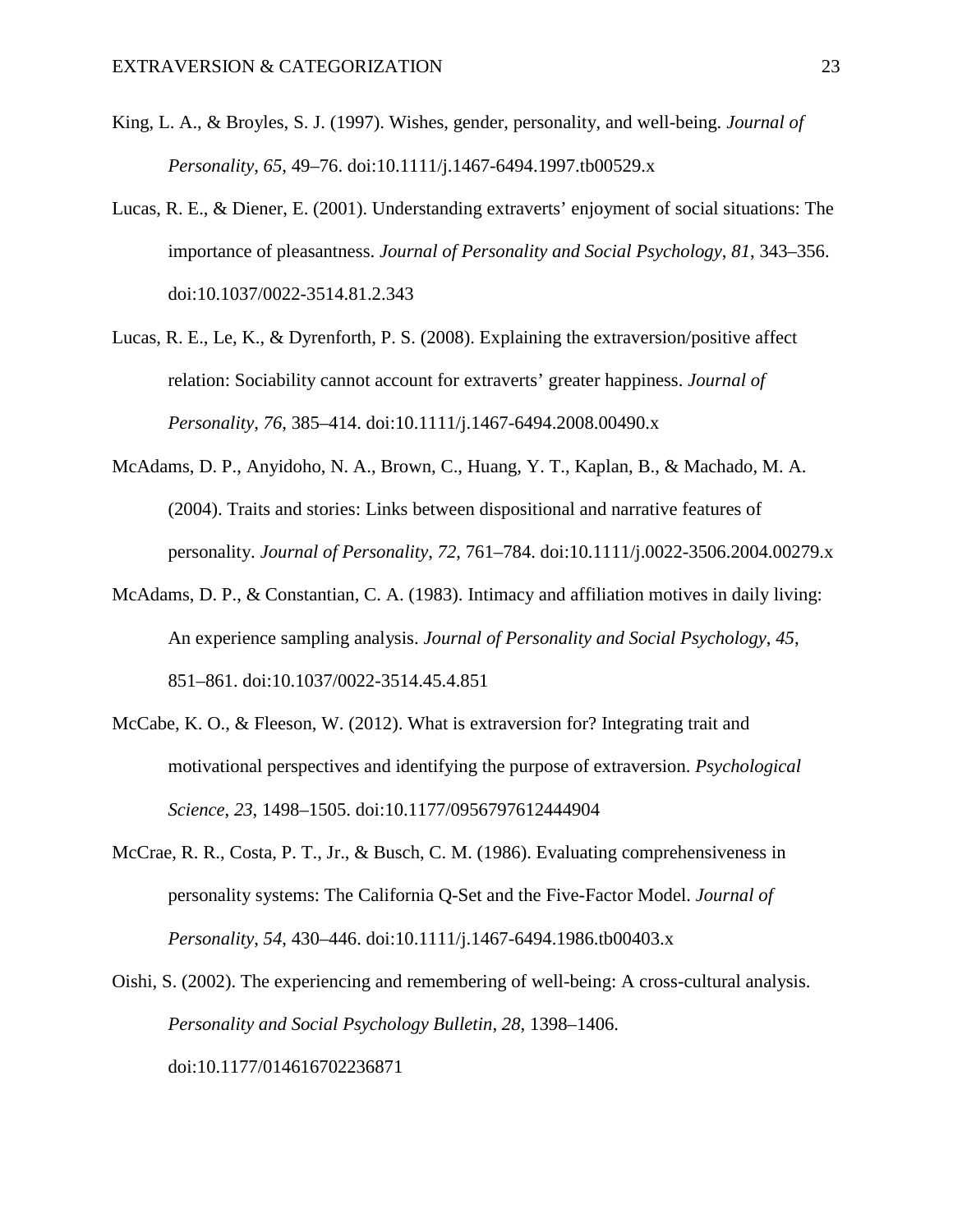- King, L. A., & Broyles, S. J. (1997). Wishes, gender, personality, and well-being. *Journal of Personality*, *65*, 49–76. doi:10.1111/j.1467-6494.1997.tb00529.x
- Lucas, R. E., & Diener, E. (2001). Understanding extraverts' enjoyment of social situations: The importance of pleasantness. *Journal of Personality and Social Psychology*, *81*, 343–356. doi:10.1037/0022-3514.81.2.343
- Lucas, R. E., Le, K., & Dyrenforth, P. S. (2008). Explaining the extraversion/positive affect relation: Sociability cannot account for extraverts' greater happiness. *Journal of Personality*, *76*, 385–414. doi:10.1111/j.1467-6494.2008.00490.x
- McAdams, D. P., Anyidoho, N. A., Brown, C., Huang, Y. T., Kaplan, B., & Machado, M. A. (2004). Traits and stories: Links between dispositional and narrative features of personality. *Journal of Personality*, *72*, 761–784. doi:10.1111/j.0022-3506.2004.00279.x
- McAdams, D. P., & Constantian, C. A. (1983). Intimacy and affiliation motives in daily living: An experience sampling analysis. *Journal of Personality and Social Psychology*, *45*, 851–861. doi:10.1037/0022-3514.45.4.851
- McCabe, K. O., & Fleeson, W. (2012). What is extraversion for? Integrating trait and motivational perspectives and identifying the purpose of extraversion. *Psychological Science*, *23*, 1498–1505. doi:10.1177/0956797612444904
- McCrae, R. R., Costa, P. T., Jr., & Busch, C. M. (1986). Evaluating comprehensiveness in personality systems: The California Q-Set and the Five-Factor Model. *Journal of Personality*, *54*, 430–446. doi:10.1111/j.1467-6494.1986.tb00403.x
- Oishi, S. (2002). The experiencing and remembering of well-being: A cross-cultural analysis. *Personality and Social Psychology Bulletin*, *28*, 1398–1406. doi:10.1177/014616702236871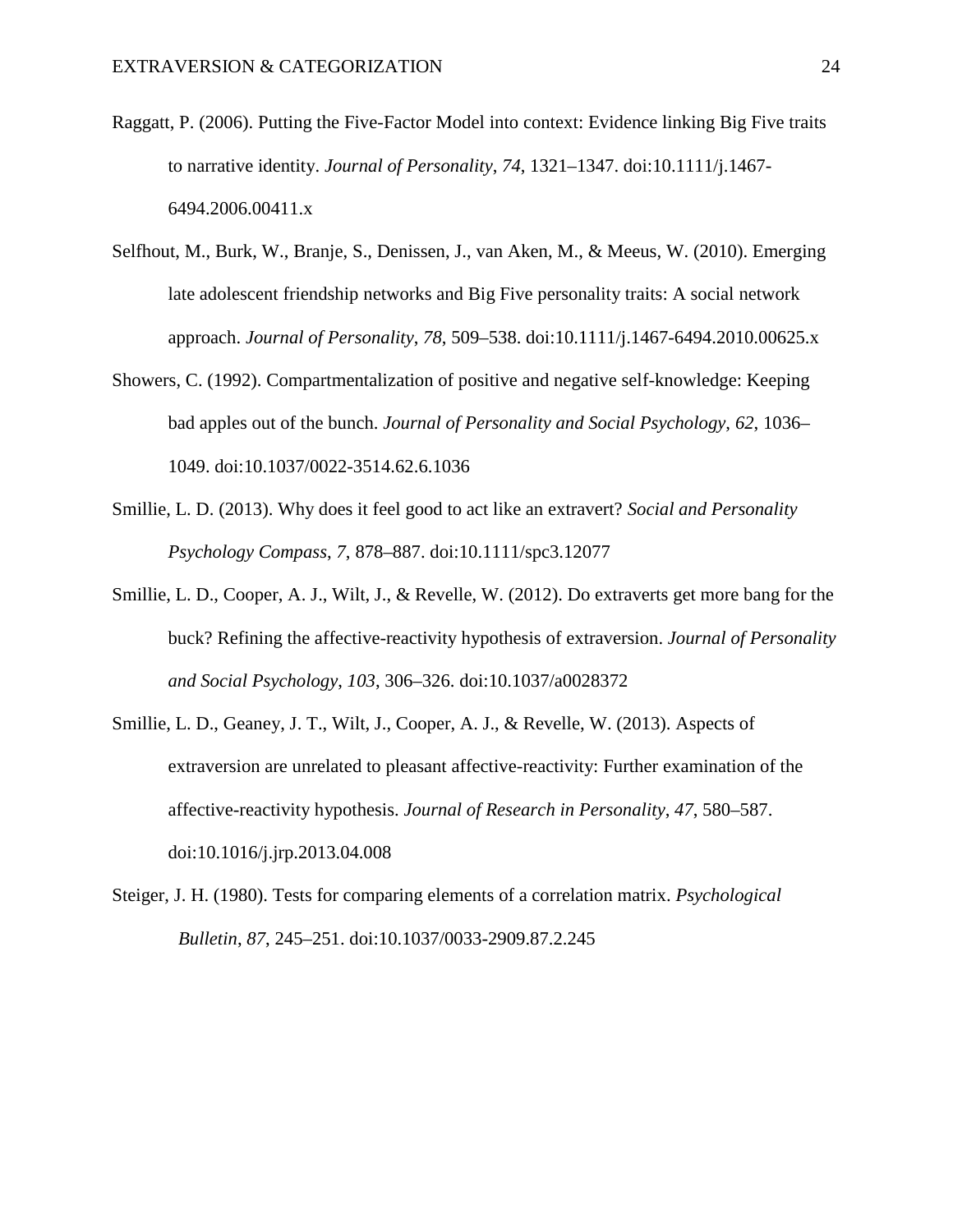- Raggatt, P. (2006). Putting the Five-Factor Model into context: Evidence linking Big Five traits to narrative identity. *Journal of Personality*, *74*, 1321–1347. doi:10.1111/j.1467- 6494.2006.00411.x
- Selfhout, M., Burk, W., Branje, S., Denissen, J., van Aken, M., & Meeus, W. (2010). Emerging late adolescent friendship networks and Big Five personality traits: A social network approach. *Journal of Personality*, *78*, 509–538. doi:10.1111/j.1467-6494.2010.00625.x
- Showers, C. (1992). Compartmentalization of positive and negative self-knowledge: Keeping bad apples out of the bunch. *Journal of Personality and Social Psychology*, *62*, 1036– 1049. doi:10.1037/0022-3514.62.6.1036
- Smillie, L. D. (2013). Why does it feel good to act like an extravert? *Social and Personality Psychology Compass*, *7*, 878–887. doi:10.1111/spc3.12077
- Smillie, L. D., Cooper, A. J., Wilt, J., & Revelle, W. (2012). Do extraverts get more bang for the buck? Refining the affective-reactivity hypothesis of extraversion. *Journal of Personality and Social Psychology*, *103*, 306–326. doi:10.1037/a0028372
- Smillie, L. D., Geaney, J. T., Wilt, J., Cooper, A. J., & Revelle, W. (2013). Aspects of extraversion are unrelated to pleasant affective-reactivity: Further examination of the affective-reactivity hypothesis. *Journal of Research in Personality*, *47*, 580–587. doi:10.1016/j.jrp.2013.04.008
- Steiger, J. H. (1980). Tests for comparing elements of a correlation matrix. *Psychological Bulletin*, *87*, 245–251. doi:10.1037/0033-2909.87.2.245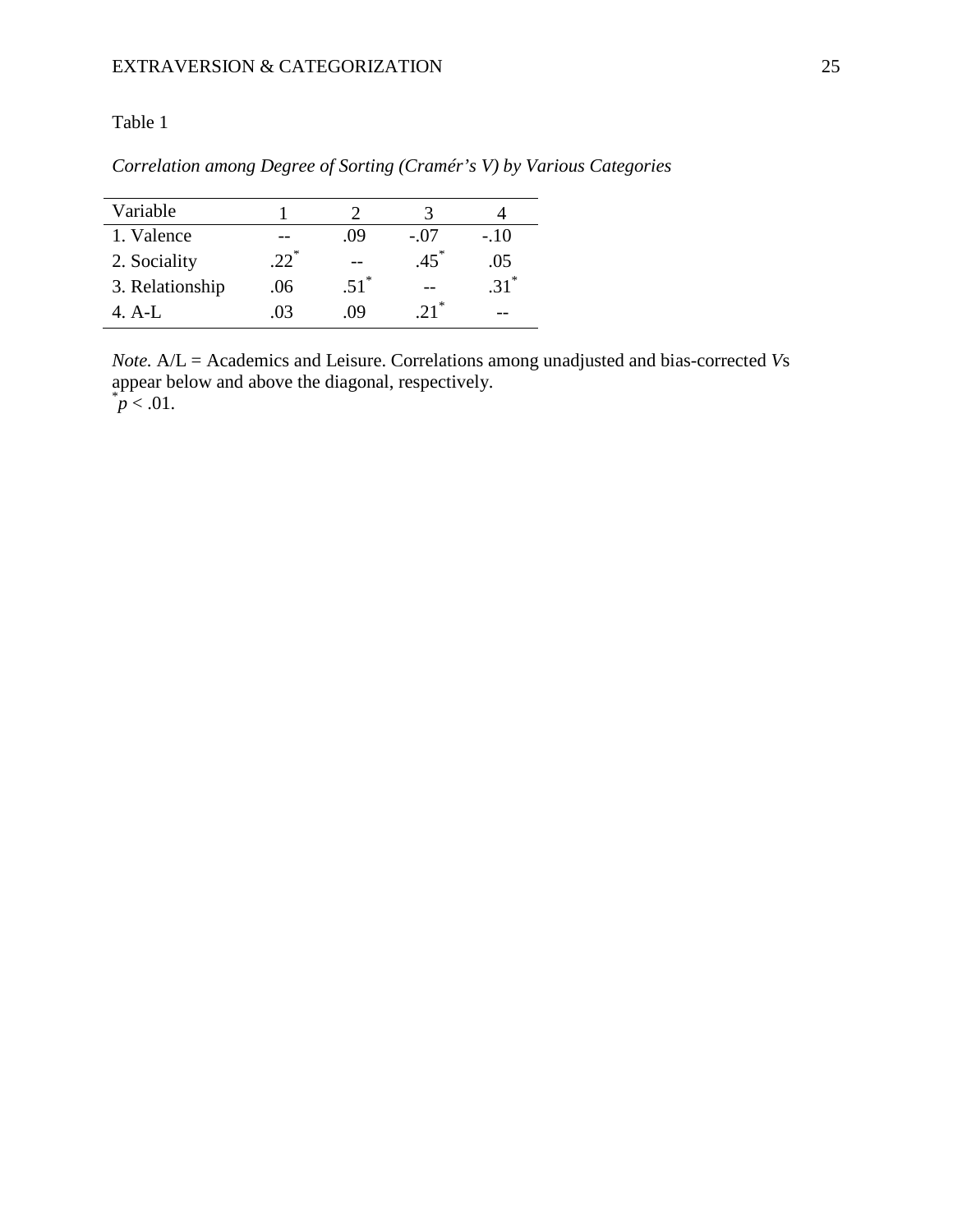# Table 1

| Correlation among Degree of Sorting (Cramér's V) by Various Categories |  |  |  |  |  |  |
|------------------------------------------------------------------------|--|--|--|--|--|--|
|------------------------------------------------------------------------|--|--|--|--|--|--|

| Variable        |        |         | 2                 |         |
|-----------------|--------|---------|-------------------|---------|
| 1. Valence      |        | .09     | $-.07$            | $-.10$  |
| 2. Sociality    | $22^*$ |         | $.45*$            | .05     |
| 3. Relationship | .06    | $.51^*$ |                   | $.31^*$ |
| 4 A-L           | .03    | -09     | $21$ <sup>*</sup> | --      |

*Note.* A/L = Academics and Leisure. Correlations among unadjusted and bias-corrected *V*s appear below and above the diagonal, respectively.<br> $p < .01$ .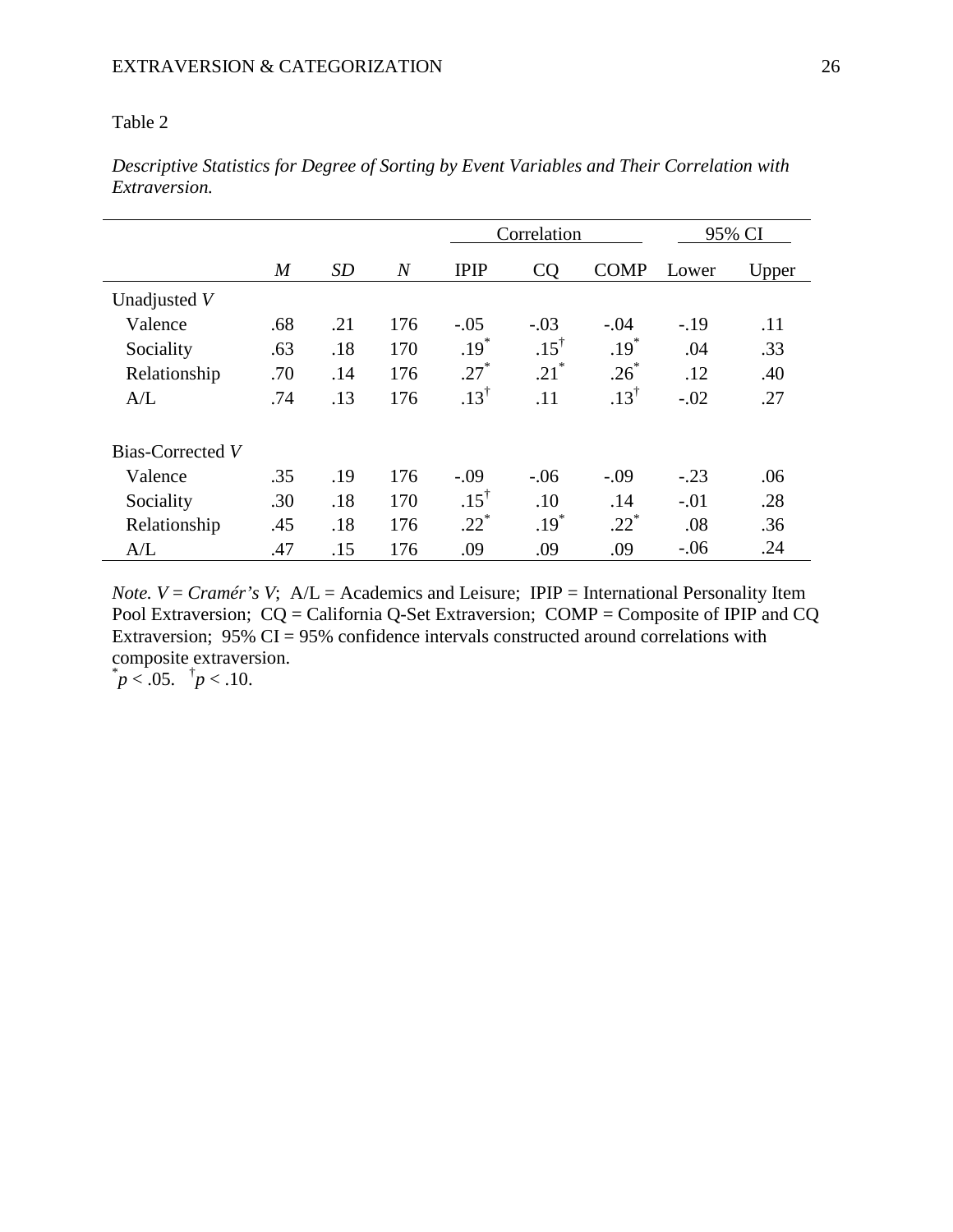# Table 2

|                  |                |           |                | Correlation     |                 |                 | 95% CI |       |
|------------------|----------------|-----------|----------------|-----------------|-----------------|-----------------|--------|-------|
|                  | $\overline{M}$ | <b>SD</b> | $\overline{N}$ | <b>IPIP</b>     | CQ              | <b>COMP</b>     | Lower  | Upper |
| Unadjusted V     |                |           |                |                 |                 |                 |        |       |
| Valence          | .68            | .21       | 176            | $-.05$          | $-.03$          | $-.04$          | $-.19$ | .11   |
| Sociality        | .63            | .18       | 170            | $.19*$          | $.15^{\dagger}$ | $.19*$          | .04    | .33   |
| Relationship     | .70            | .14       | 176            | $.27*$          | $.21^*$         | $.26*$          | .12    | .40   |
| A/L              | .74            | .13       | 176            | $.13^{\dagger}$ | .11             | $.13^{\dagger}$ | $-.02$ | .27   |
| Bias-Corrected V |                |           |                |                 |                 |                 |        |       |
| Valence          | .35            | .19       | 176            | $-.09$          | $-.06$          | $-.09$          | $-.23$ | .06   |
| Sociality        | .30            | .18       | 170            | $.15^{\dagger}$ | .10             | .14             | $-.01$ | .28   |
| Relationship     | .45            | .18       | 176            | $.22*$          | $.19*$          | $.22*$          | .08    | .36   |
| A/L              | .47            | .15       | 176            | .09             | .09             | .09             | $-.06$ | .24   |

*Descriptive Statistics for Degree of Sorting by Event Variables and Their Correlation with Extraversion.*

*Note. V* = *Cramér's V*; A/L = Academics and Leisure; IPIP = International Personality Item Pool Extraversion; CQ = California Q-Set Extraversion; COMP = Composite of IPIP and CQ Extraversion;  $95\%$  CI = 95% confidence intervals constructed around correlations with composite extraversion.  $p < .05.$   $\uparrow p < .10.$